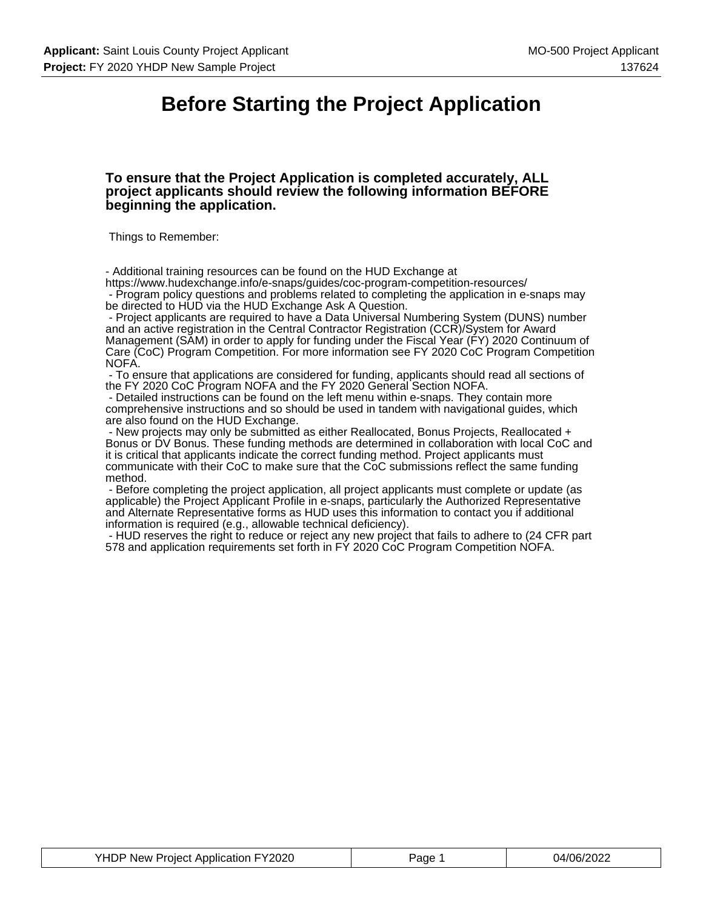### **Before Starting the Project Application**

#### **To ensure that the Project Application is completed accurately, ALL project applicants should review the following information BEFORE beginning the application.**

Things to Remember:

- Additional training resources can be found on the HUD Exchange at

https://www.hudexchange.info/e-snaps/guides/coc-program-competition-resources/ - Program policy questions and problems related to completing the application in e-snaps may

be directed to HUD via the HUD Exchange Ask A Question.

 - Project applicants are required to have a Data Universal Numbering System (DUNS) number and an active registration in the Central Contractor Registration (CCR)/System for Award Management (SAM) in order to apply for funding under the Fiscal Year (FY) 2020 Continuum of Care (CoC) Program Competition. For more information see FY 2020 CoC Program Competition NOFA.

 - To ensure that applications are considered for funding, applicants should read all sections of the FY 2020 CoC Program NOFA and the FY 2020 General Section NOFA.

 - Detailed instructions can be found on the left menu within e-snaps. They contain more comprehensive instructions and so should be used in tandem with navigational guides, which are also found on the HUD Exchange.

 - New projects may only be submitted as either Reallocated, Bonus Projects, Reallocated + Bonus or DV Bonus. These funding methods are determined in collaboration with local CoC and it is critical that applicants indicate the correct funding method. Project applicants must communicate with their CoC to make sure that the CoC submissions reflect the same funding method.

 - Before completing the project application, all project applicants must complete or update (as applicable) the Project Applicant Profile in e-snaps, particularly the Authorized Representative and Alternate Representative forms as HUD uses this information to contact you if additional information is required (e.g., allowable technical deficiency).

 - HUD reserves the right to reduce or reject any new project that fails to adhere to (24 CFR part 578 and application requirements set forth in FY 2020 CoC Program Competition NOFA.

| YHDP New Project Application FY2020 | Page | 04/06/2022 |
|-------------------------------------|------|------------|
|-------------------------------------|------|------------|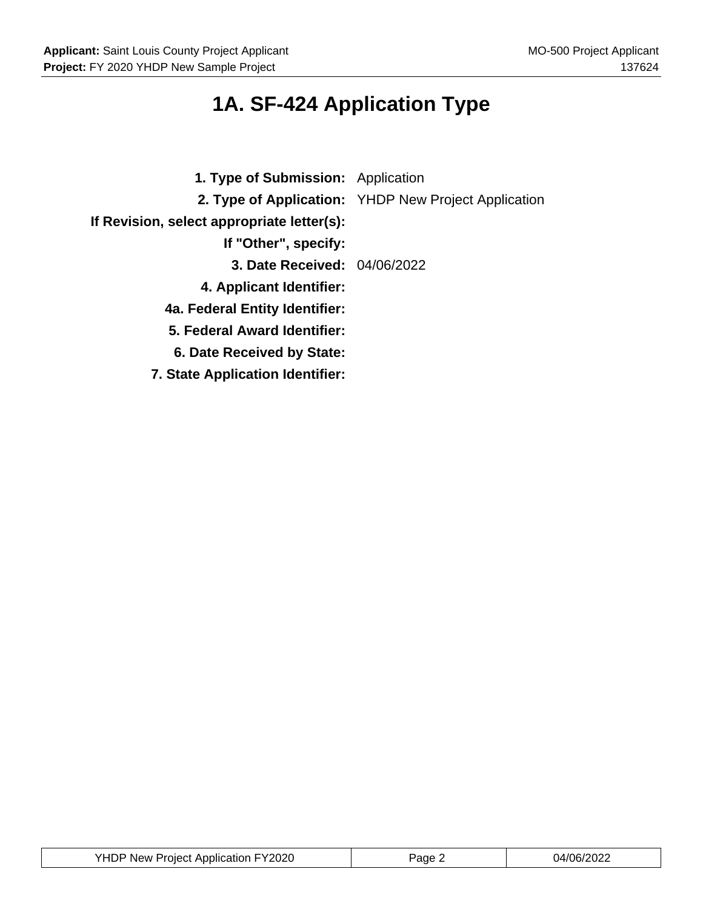# **1A. SF-424 Application Type**

| 1. Type of Submission: Application         |                                                      |
|--------------------------------------------|------------------------------------------------------|
|                                            | 2. Type of Application: YHDP New Project Application |
| If Revision, select appropriate letter(s): |                                                      |
| If "Other", specify:                       |                                                      |
| <b>3. Date Received: 04/06/2022</b>        |                                                      |
| 4. Applicant Identifier:                   |                                                      |
| 4a. Federal Entity Identifier:             |                                                      |
| 5. Federal Award Identifier:               |                                                      |
| 6. Date Received by State:                 |                                                      |
| 7. State Application Identifier:           |                                                      |

| YHDP New Project Application FY2020 | Page | 04/06/2022 |
|-------------------------------------|------|------------|
|-------------------------------------|------|------------|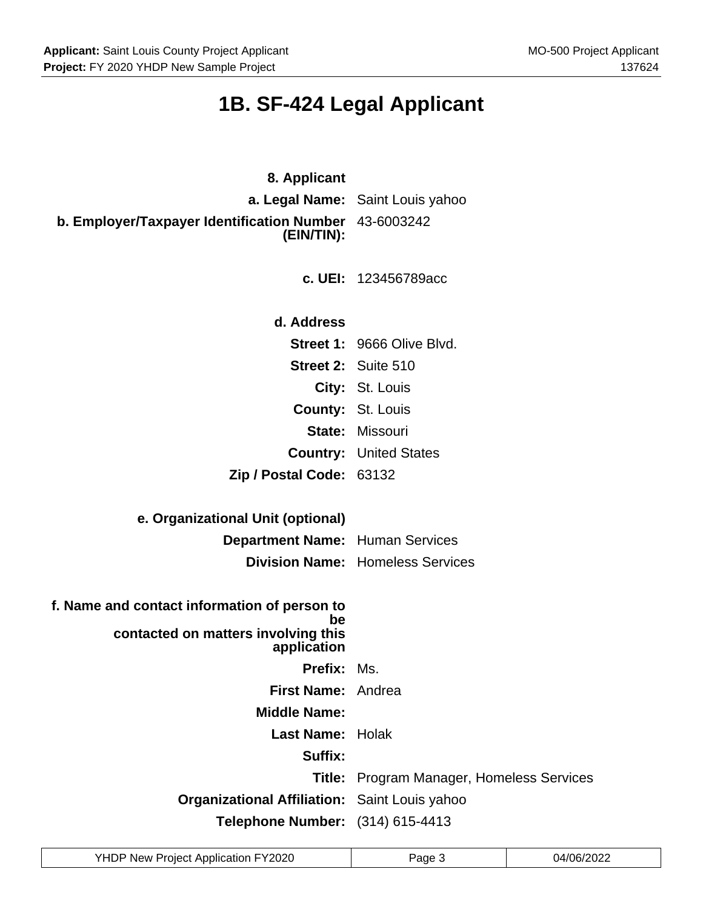# **1B. SF-424 Legal Applicant**

| 8. Applicant                                                        |                                         |
|---------------------------------------------------------------------|-----------------------------------------|
|                                                                     | <b>a. Legal Name:</b> Saint Louis yahoo |
| b. Employer/Taxpayer Identification Number 43-6003242<br>(EIN/TIN): |                                         |
|                                                                     | c. UEI: 123456789acc                    |
| d. Address                                                          |                                         |
|                                                                     | Street 1: 9666 Olive Blvd.              |
|                                                                     | <b>Street 2: Suite 510</b>              |
|                                                                     | City: St. Louis                         |
|                                                                     | <b>County: St. Louis</b>                |
|                                                                     | State: Missouri                         |
|                                                                     | <b>Country: United States</b>           |
| Zip / Postal Code: 63132                                            |                                         |
| e. Organizational Unit (optional)                                   |                                         |
| <b>Department Name: Human Services</b>                              |                                         |
|                                                                     | <b>Division Name: Homeless Services</b> |
|                                                                     |                                         |
| f. Name and contact information of person to<br>be                  |                                         |
| contacted on matters involving this<br>application                  |                                         |
| Prefix: Ms.                                                         |                                         |
| First Name: Andrea                                                  |                                         |
| <b>Middle Name:</b>                                                 |                                         |
| <b>Last Name:</b>                                                   | Holak                                   |
| Suffix:                                                             |                                         |
| Title:                                                              | Program Manager, Homeless Services      |
| <b>Organizational Affiliation:</b>                                  | Saint Louis yahoo                       |
| Telephone Number: (314) 615-4413                                    |                                         |

| YHDP New Project Application FY2020 | ెage : | 04/06/2022 |
|-------------------------------------|--------|------------|
|-------------------------------------|--------|------------|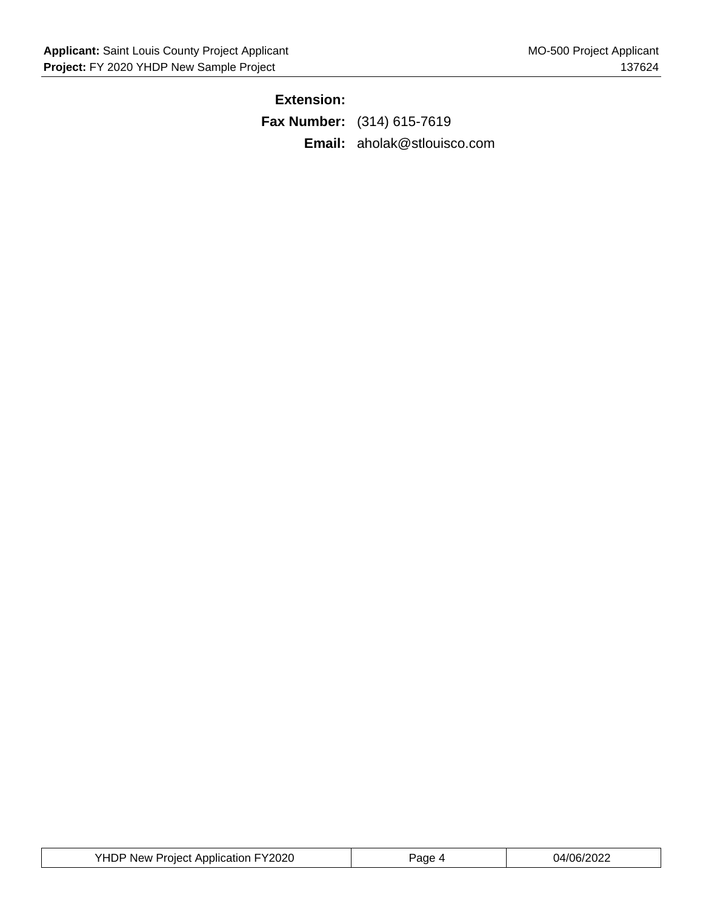### **Extension:**

**Fax Number:** (314) 615-7619 **Email:** aholak@stlouisco.com

| YHDP New Project Application FY2020 | Page 4 | 04/06/2022 |
|-------------------------------------|--------|------------|
|-------------------------------------|--------|------------|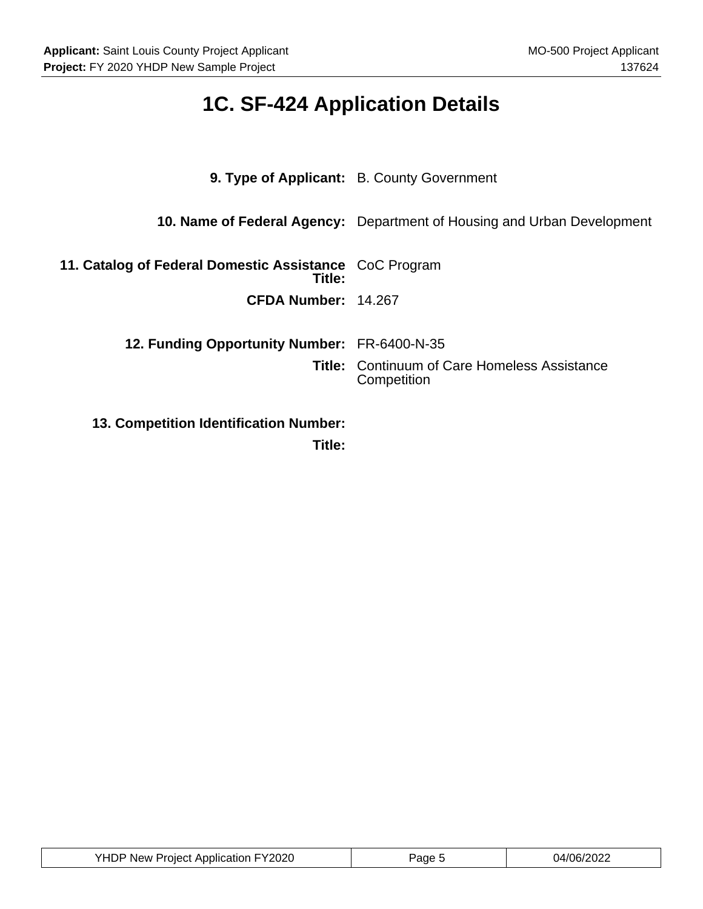# **1C. SF-424 Application Details**

| 9. Type of Applicant: B. County Government                              |
|-------------------------------------------------------------------------|
| 10. Name of Federal Agency: Department of Housing and Urban Development |
| 11. Catalog of Federal Domestic Assistance CoC Program                  |
| CFDA Number: 14.267                                                     |
| <b>12. Funding Opportunity Number: FR-6400-N-35</b>                     |
| <b>Title: Continuum of Care Homeless Assistance</b><br>Competition      |
|                                                                         |
|                                                                         |

**Title:**

| YHDP New Project Application FY2020 | Page 5 | 04/06/2022 |
|-------------------------------------|--------|------------|
|-------------------------------------|--------|------------|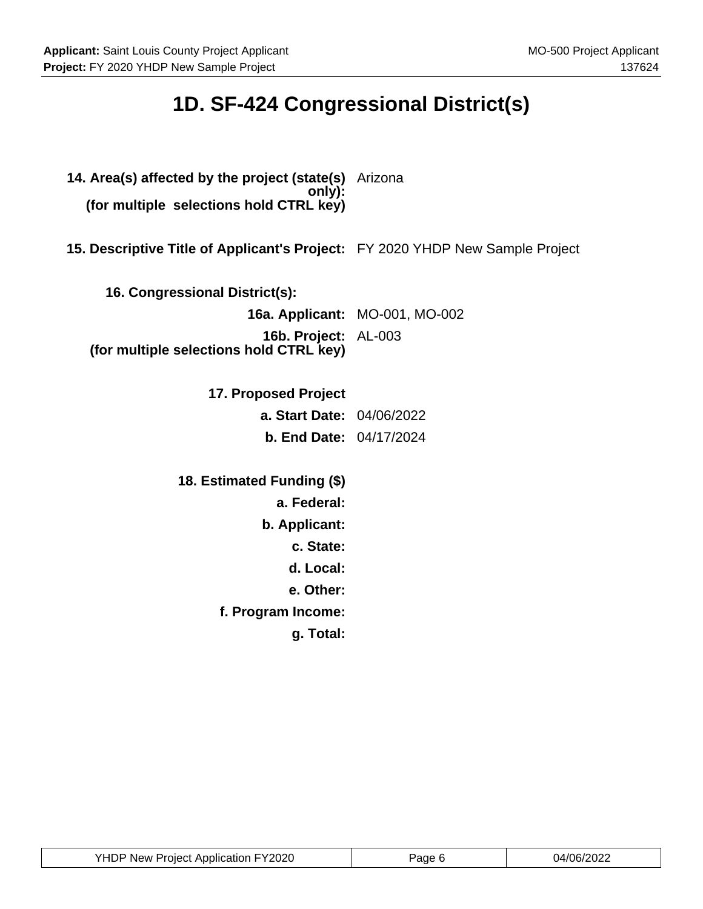# **1D. SF-424 Congressional District(s)**

- **14. Area(s) affected by the project (state(s)** Arizona **only): (for multiple selections hold CTRL key)**
- **15. Descriptive Title of Applicant's Project:** FY 2020 YHDP New Sample Project

| 16. Congressional District(s): |
|--------------------------------|
|--------------------------------|

|                                                                        | 16a. Applicant: MO-001, MO-002 |
|------------------------------------------------------------------------|--------------------------------|
| <b>16b. Project: AL-003</b><br>(for multiple selections hold CTRL key) |                                |

| <b>17. Proposed Project</b>      |  |
|----------------------------------|--|
| <b>a. Start Date: 04/06/2022</b> |  |
| <b>b. End Date:</b> $04/17/2024$ |  |

**18. Estimated Funding (\$) a. Federal: b. Applicant: c. State: d. Local: e. Other: f. Program Income: g. Total:**

| YHDP New Project Application FY2020 | Page 6 | 04/06/2022 |
|-------------------------------------|--------|------------|
|-------------------------------------|--------|------------|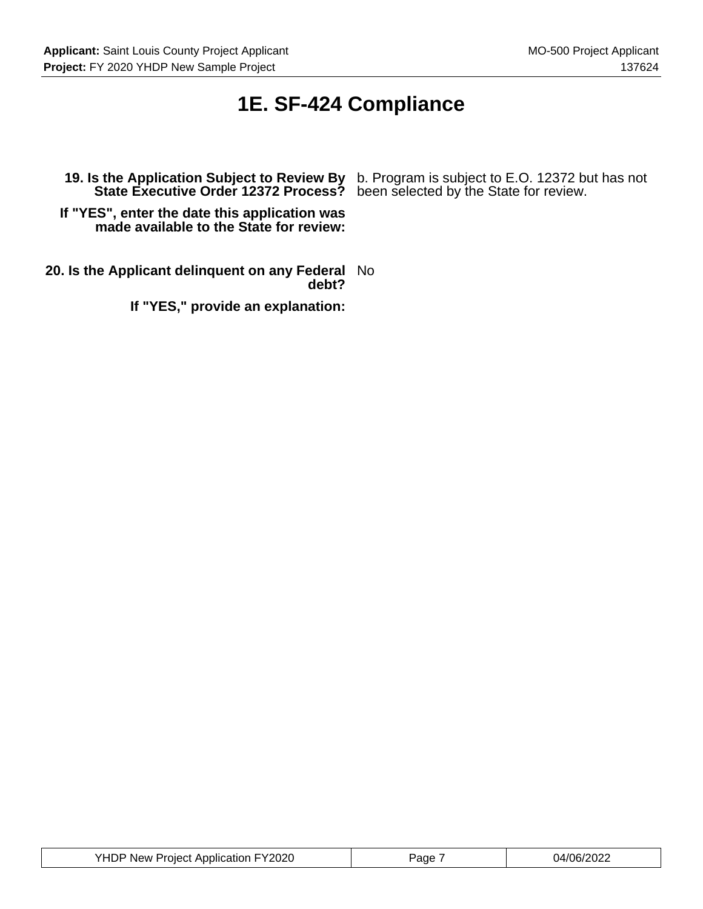### **1E. SF-424 Compliance**

**State Executive Order 12372 Process?** been selected by the State for review.

**19. Is the Application Subject to Review By** b. Program is subject to E.O. 12372 but has not

**If "YES", enter the date this application was made available to the State for review:**

**20. Is the Applicant delinquent on any Federal** No **debt?**

**If "YES," provide an explanation:**

| YHDP New Project Application FY2020 | Page | 04/06/2022 |
|-------------------------------------|------|------------|
|-------------------------------------|------|------------|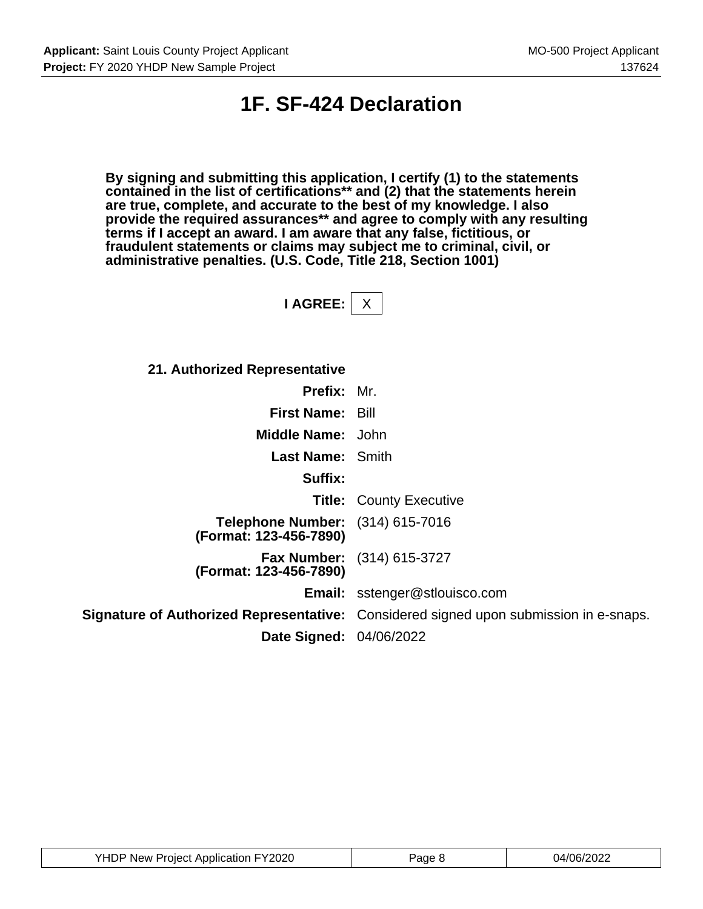## **1F. SF-424 Declaration**

**By signing and submitting this application, I certify (1) to the statements contained in the list of certifications\*\* and (2) that the statements herein are true, complete, and accurate to the best of my knowledge. I also provide the required assurances\*\* and agree to comply with any resulting terms if I accept an award. I am aware that any false, fictitious, or fraudulent statements or claims may subject me to criminal, civil, or administrative penalties. (U.S. Code, Title 218, Section 1001)**

**I AGREE:** X

**21. Authorized Representative Prefix:** Mr. **First Name:** Bill **Middle Name:** John **Last Name:** Smith **Suffix: Title:** County Executive **Telephone Number:** (314) 615-7016 **(Format: 123-456-7890) Fax Number:** (314) 615-3727 **(Format: 123-456-7890) Email:** sstenger@stlouisco.com **Signature of Authorized Representative:** Considered signed upon submission in e-snaps. **Date Signed:** 04/06/2022

| YHDP New Project Application FY2020 | Page 8 | 04/06/2022 |
|-------------------------------------|--------|------------|
|-------------------------------------|--------|------------|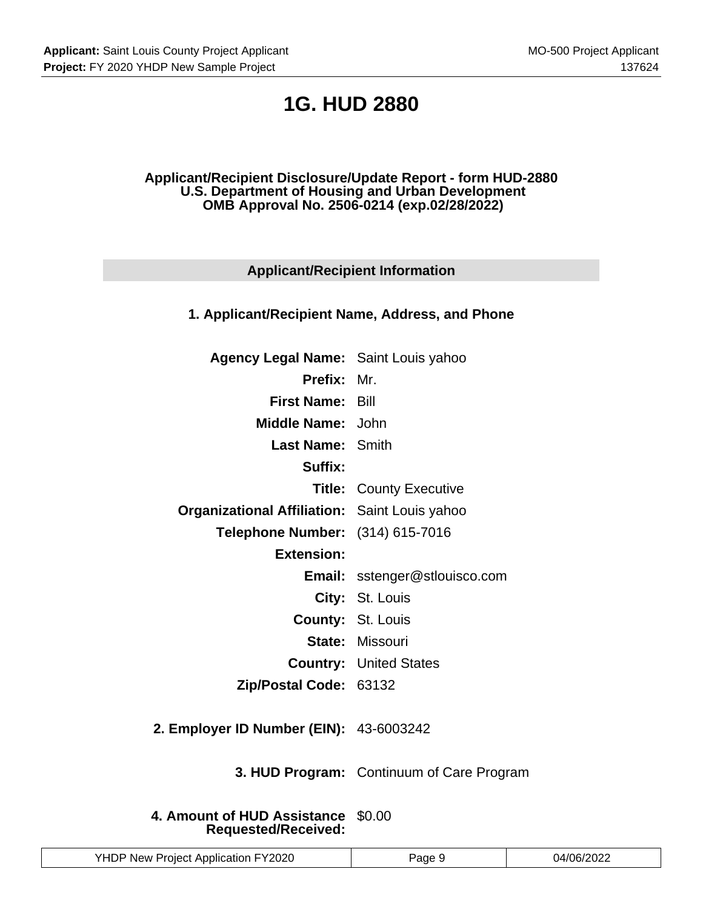# **1G. HUD 2880**

#### **Applicant/Recipient Disclosure/Update Report - form HUD-2880 U.S. Department of Housing and Urban Development OMB Approval No. 2506-0214 (exp.02/28/2022)**

### **Applicant/Recipient Information**

### **1. Applicant/Recipient Name, Address, and Phone**

| <b>Agency Legal Name:</b> Saint Louis yahoo   |                                      |
|-----------------------------------------------|--------------------------------------|
| <b>Prefix: Mr.</b>                            |                                      |
| <b>First Name: Bill</b>                       |                                      |
| Middle Name: John                             |                                      |
| <b>Last Name: Smith</b>                       |                                      |
| Suffix:                                       |                                      |
|                                               | <b>Title: County Executive</b>       |
| Organizational Affiliation: Saint Louis yahoo |                                      |
| <b>Telephone Number:</b> (314) 615-7016       |                                      |
| <b>Extension:</b>                             |                                      |
|                                               | <b>Email:</b> sstenger@stlouisco.com |
|                                               | City: St. Louis                      |
|                                               | <b>County: St. Louis</b>             |
|                                               | <b>State: Missouri</b>               |
|                                               | <b>Country: United States</b>        |
| Zip/Postal Code: 63132                        |                                      |
|                                               |                                      |
| 2. Employer ID Number (EIN): 43-6003242       |                                      |
|                                               |                                      |

**3. HUD Program:** Continuum of Care Program

#### **4. Amount of HUD Assistance** \$0.00 **Requested/Received:**

| YHDP New Project Application FY2020 | Page <sup>r</sup> | 04/06/2022 |
|-------------------------------------|-------------------|------------|
|-------------------------------------|-------------------|------------|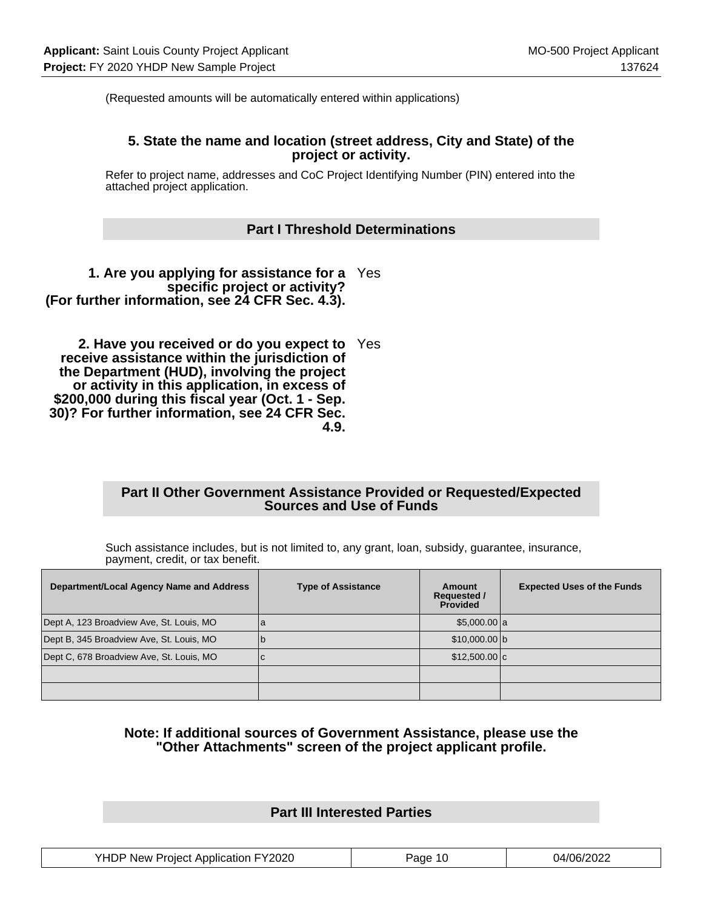(Requested amounts will be automatically entered within applications)

#### **5. State the name and location (street address, City and State) of the project or activity.**

Refer to project name, addresses and CoC Project Identifying Number (PIN) entered into the attached project application.

#### **Part I Threshold Determinations**

**1. Are you applying for assistance for a** Yes **specific project or activity? (For further information, see 24 CFR Sec. 4.3).**

**2. Have you received or do you expect to** Yes **receive assistance within the jurisdiction of the Department (HUD), involving the project or activity in this application, in excess of \$200,000 during this fiscal year (Oct. 1 - Sep. 30)? For further information, see 24 CFR Sec. 4.9.**

#### **Part II Other Government Assistance Provided or Requested/Expected Sources and Use of Funds**

Such assistance includes, but is not limited to, any grant, loan, subsidy, guarantee, insurance, payment, credit, or tax benefit.

| Department/Local Agency Name and Address | <b>Type of Assistance</b> | Amount<br><b>Requested /</b><br><b>Provided</b> | <b>Expected Uses of the Funds</b> |
|------------------------------------------|---------------------------|-------------------------------------------------|-----------------------------------|
| Dept A, 123 Broadview Ave, St. Louis, MO |                           | \$5,000.00 a                                    |                                   |
| Dept B, 345 Broadview Ave, St. Louis, MO |                           | \$10,000.00 b                                   |                                   |
| Dept C, 678 Broadview Ave, St. Louis, MO | C                         | \$12,500.00 c                                   |                                   |
|                                          |                           |                                                 |                                   |
|                                          |                           |                                                 |                                   |

#### **Note: If additional sources of Government Assistance, please use the "Other Attachments" screen of the project applicant profile.**

#### **Part III Interested Parties**

| YHDP New Project Application FY2020 | Page 10 | 04/06/2022 |
|-------------------------------------|---------|------------|
|-------------------------------------|---------|------------|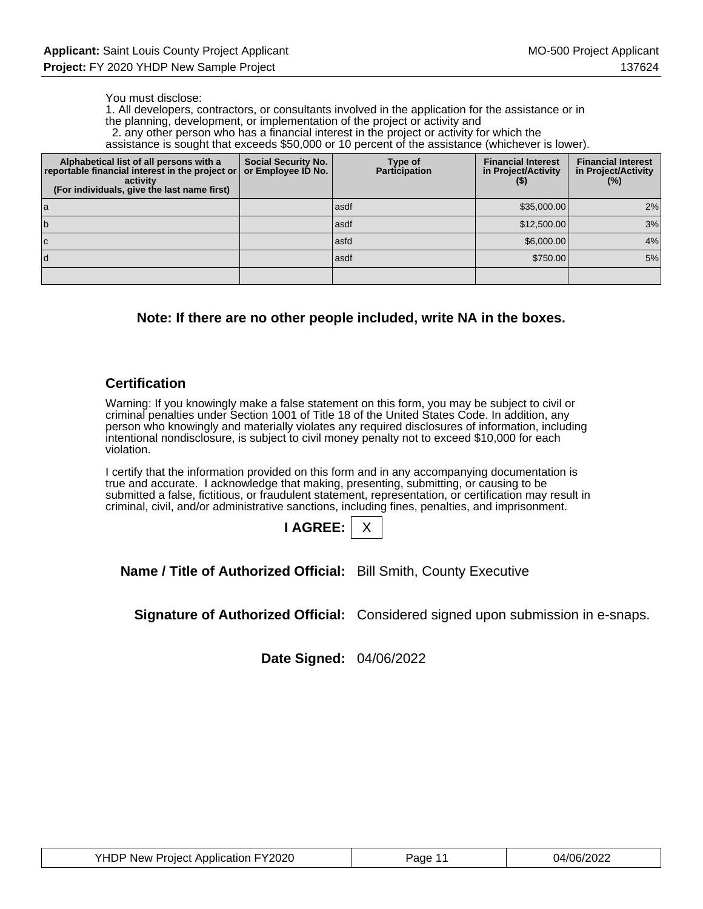You must disclose:

1. All developers, contractors, or consultants involved in the application for the assistance or in the planning, development, or implementation of the project or activity and

2. any other person who has a financial interest in the project or activity for which the

assistance is sought that exceeds \$50,000 or 10 percent of the assistance (whichever is lower).

| Alphabetical list of all persons with a<br>reportable financial interest in the project or  <br>activity<br>(For individuals, give the last name first) | <b>Social Security No.</b><br>or Employee ID No. | Type of<br><b>Participation</b> | <b>Financial Interest</b><br>in Project/Activity<br>$($ \$) | <b>Financial Interest</b><br>in Project/Activity<br>$(\%)$ |
|---------------------------------------------------------------------------------------------------------------------------------------------------------|--------------------------------------------------|---------------------------------|-------------------------------------------------------------|------------------------------------------------------------|
| ۱a                                                                                                                                                      |                                                  | lasdf                           | \$35,000.00                                                 | 2%                                                         |
| b                                                                                                                                                       |                                                  | lasdf                           | \$12,500.00                                                 | 3%                                                         |
| l c                                                                                                                                                     |                                                  | asfd                            | \$6,000.00                                                  | 4%                                                         |
| ۱d                                                                                                                                                      |                                                  | asdf                            | \$750.00                                                    | 5%                                                         |
|                                                                                                                                                         |                                                  |                                 |                                                             |                                                            |

#### **Note: If there are no other people included, write NA in the boxes.**

#### **Certification**

Warning: If you knowingly make a false statement on this form, you may be subject to civil or criminal penalties under Section 1001 of Title 18 of the United States Code. In addition, any person who knowingly and materially violates any required disclosures of information, including intentional nondisclosure, is subject to civil money penalty not to exceed \$10,000 for each violation.

I certify that the information provided on this form and in any accompanying documentation is true and accurate. I acknowledge that making, presenting, submitting, or causing to be submitted a false, fictitious, or fraudulent statement, representation, or certification may result in criminal, civil, and/or administrative sanctions, including fines, penalties, and imprisonment.

| <b>I AGREE:</b> |  |
|-----------------|--|
|                 |  |

**Name / Title of Authorized Official:** Bill Smith, County Executive

**Signature of Authorized Official:** Considered signed upon submission in e-snaps.

**Date Signed:** 04/06/2022

| YHDP New Project Application FY2020 | <sup>2</sup> age 11 | 04/06/2022 |
|-------------------------------------|---------------------|------------|
|-------------------------------------|---------------------|------------|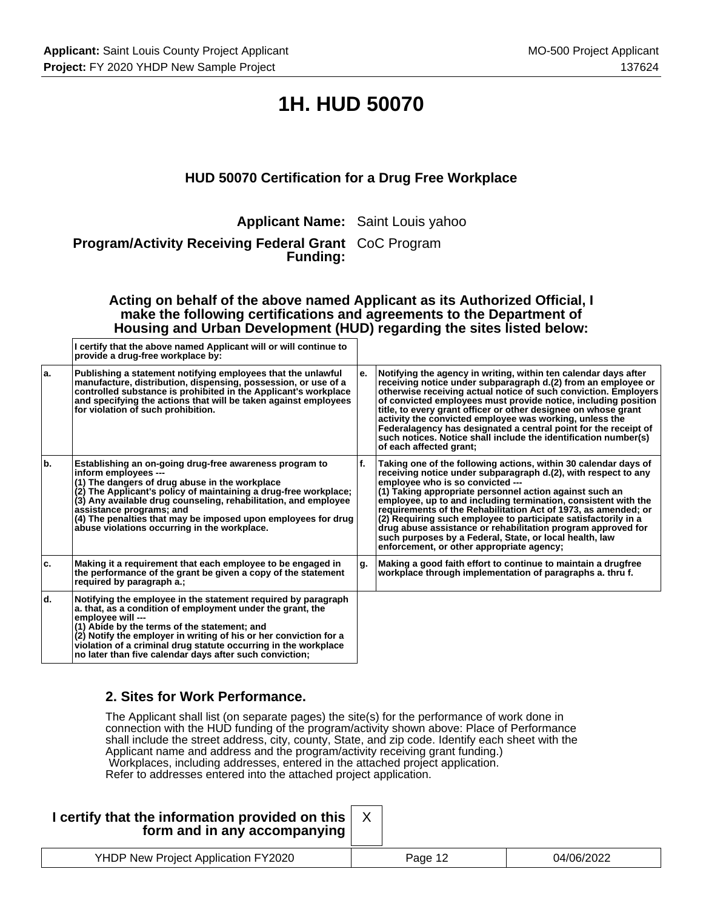## **1H. HUD 50070**

### **HUD 50070 Certification for a Drug Free Workplace**

**Applicant Name:** Saint Louis yahoo

**Program/Activity Receiving Federal Grant** CoC Program **Funding:**

**Acting on behalf of the above named Applicant as its Authorized Official, I make the following certifications and agreements to the Department of Housing and Urban Development (HUD) regarding the sites listed below:**

|     | I certify that the above named Applicant will or will continue to<br>provide a drug-free workplace by:                                                                                                                                                                                                                                                                                                                |    |                                                                                                                                                                                                                                                                                                                                                                                                                                                                                                                                                                                                                |
|-----|-----------------------------------------------------------------------------------------------------------------------------------------------------------------------------------------------------------------------------------------------------------------------------------------------------------------------------------------------------------------------------------------------------------------------|----|----------------------------------------------------------------------------------------------------------------------------------------------------------------------------------------------------------------------------------------------------------------------------------------------------------------------------------------------------------------------------------------------------------------------------------------------------------------------------------------------------------------------------------------------------------------------------------------------------------------|
| ۱a. | Publishing a statement notifying employees that the unlawful<br>manufacture, distribution, dispensing, possession, or use of a<br>controlled substance is prohibited in the Applicant's workplace<br>and specifying the actions that will be taken against employees<br>for violation of such prohibition.                                                                                                            | е. | Notifying the agency in writing, within ten calendar days after<br>receiving notice under subparagraph d.(2) from an employee or<br>otherwise receiving actual notice of such conviction. Employers<br>of convicted employees must provide notice, including position<br>title, to every grant officer or other designee on whose grant<br>activity the convicted employee was working, unless the<br>Federalagency has designated a central point for the receipt of<br>such notices. Notice shall include the identification number(s)<br>of each affected grant;                                            |
| b.  | Establishing an on-going drug-free awareness program to<br>inform employees ---<br>(1) The dangers of drug abuse in the workplace<br>(2) The Applicant's policy of maintaining a drug-free workplace;<br>(3) Any available drug counseling, rehabilitation, and employee<br>assistance programs; and<br>(4) The penalties that may be imposed upon employees for drug<br>abuse violations occurring in the workplace. | f. | Taking one of the following actions, within 30 calendar days of<br>receiving notice under subparagraph d.(2), with respect to any<br>employee who is so convicted ---<br>(1) Taking appropriate personnel action against such an<br>employee, up to and including termination, consistent with the<br>requirements of the Rehabilitation Act of 1973, as amended; or<br>(2) Requiring such employee to participate satisfactorily in a<br>drug abuse assistance or rehabilitation program approved for<br>such purposes by a Federal, State, or local health, law<br>enforcement, or other appropriate agency; |
| c.  | Making it a requirement that each employee to be engaged in<br>the performance of the grant be given a copy of the statement<br>required by paragraph a.;                                                                                                                                                                                                                                                             | q. | Making a good faith effort to continue to maintain a drugfree<br>workplace through implementation of paragraphs a. thru f.                                                                                                                                                                                                                                                                                                                                                                                                                                                                                     |
| ld. | Notifying the employee in the statement required by paragraph<br>a. that, as a condition of employment under the grant, the<br>employee will ---<br>(1) Abide by the terms of the statement; and<br>(2) Notify the employer in writing of his or her conviction for a<br>violation of a criminal drug statute occurring in the workplace<br>no later than five calendar days after such conviction;                   |    |                                                                                                                                                                                                                                                                                                                                                                                                                                                                                                                                                                                                                |

### **2. Sites for Work Performance.**

The Applicant shall list (on separate pages) the site(s) for the performance of work done in connection with the HUD funding of the program/activity shown above: Place of Performance shall include the street address, city, county, State, and zip code. Identify each sheet with the Applicant name and address and the program/activity receiving grant funding.) Workplaces, including addresses, entered in the attached project application. Refer to addresses entered into the attached project application.

| I certify that the information provided on this  <br>form and in any accompanying I |         |            |
|-------------------------------------------------------------------------------------|---------|------------|
| YHDP New Project Application FY2020                                                 | Page 12 | 04/06/2022 |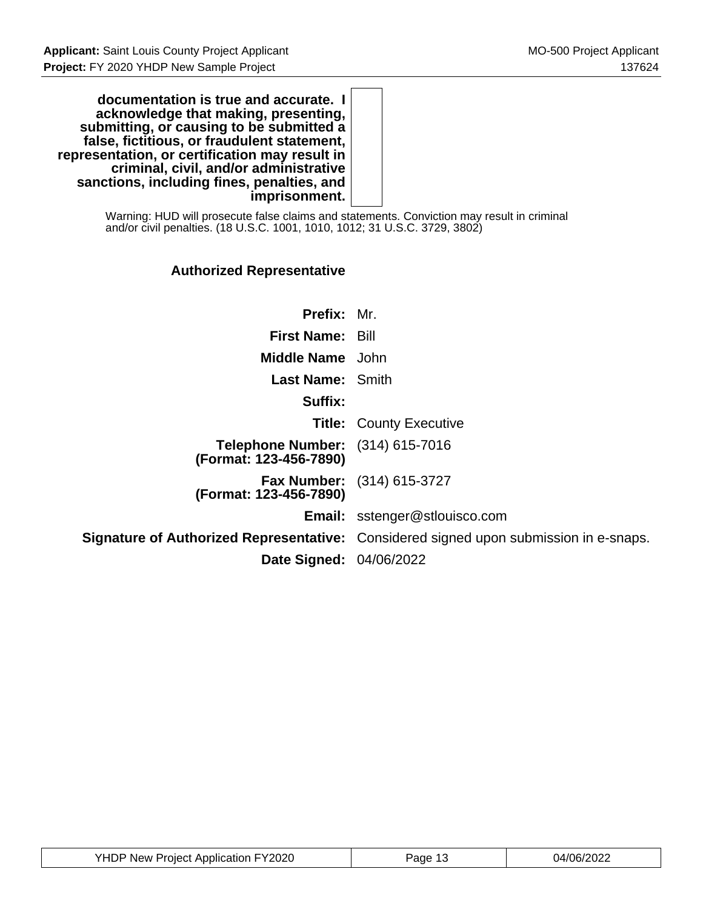**documentation is true and accurate. I acknowledge that making, presenting, submitting, or causing to be submitted a false, fictitious, or fraudulent statement, representation, or certification may result in criminal, civil, and/or administrative sanctions, including fines, penalties, and imprisonment.**

> Warning: HUD will prosecute false claims and statements. Conviction may result in criminal and/or civil penalties. (18 U.S.C. 1001, 1010, 1012; 31 U.S.C. 3729, 3802)

### **Authorized Representative**

| Prefix: Mr.                                                       |                                                                                              |
|-------------------------------------------------------------------|----------------------------------------------------------------------------------------------|
| <b>First Name: Bill</b>                                           |                                                                                              |
| Middle Name John                                                  |                                                                                              |
| <b>Last Name: Smith</b>                                           |                                                                                              |
| Suffix:                                                           |                                                                                              |
|                                                                   | <b>Title: County Executive</b>                                                               |
| <b>Telephone Number:</b> (314) 615-7016<br>(Format: 123-456-7890) |                                                                                              |
| (Format: 123-456-7890)                                            | <b>Fax Number:</b> (314) 615-3727                                                            |
|                                                                   | <b>Email:</b> sstenger@stlouisco.com                                                         |
|                                                                   | <b>Signature of Authorized Representative:</b> Considered signed upon submission in e-snaps. |
| <b>Date Signed: 04/06/2022</b>                                    |                                                                                              |

| YHDP New Project Application FY2020 | Page 13 | 04/06/2022 |
|-------------------------------------|---------|------------|
|-------------------------------------|---------|------------|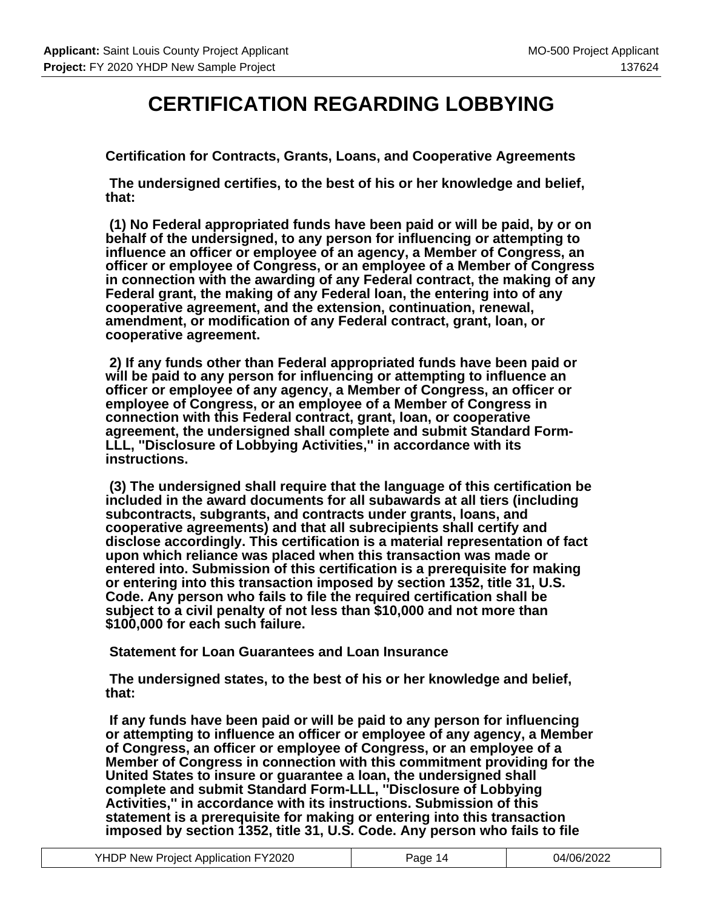### **CERTIFICATION REGARDING LOBBYING**

**Certification for Contracts, Grants, Loans, and Cooperative Agreements**

 **The undersigned certifies, to the best of his or her knowledge and belief, that:**

 **(1) No Federal appropriated funds have been paid or will be paid, by or on behalf of the undersigned, to any person for influencing or attempting to influence an officer or employee of an agency, a Member of Congress, an officer or employee of Congress, or an employee of a Member of Congress in connection with the awarding of any Federal contract, the making of any Federal grant, the making of any Federal loan, the entering into of any cooperative agreement, and the extension, continuation, renewal, amendment, or modification of any Federal contract, grant, loan, or cooperative agreement.**

 **2) If any funds other than Federal appropriated funds have been paid or will be paid to any person for influencing or attempting to influence an officer or employee of any agency, a Member of Congress, an officer or employee of Congress, or an employee of a Member of Congress in connection with this Federal contract, grant, loan, or cooperative agreement, the undersigned shall complete and submit Standard Form-LLL, ''Disclosure of Lobbying Activities,'' in accordance with its instructions.**

 **(3) The undersigned shall require that the language of this certification be included in the award documents for all subawards at all tiers (including subcontracts, subgrants, and contracts under grants, loans, and cooperative agreements) and that all subrecipients shall certify and disclose accordingly. This certification is a material representation of fact upon which reliance was placed when this transaction was made or entered into. Submission of this certification is a prerequisite for making or entering into this transaction imposed by section 1352, title 31, U.S. Code. Any person who fails to file the required certification shall be subject to a civil penalty of not less than \$10,000 and not more than \$100,000 for each such failure.**

 **Statement for Loan Guarantees and Loan Insurance**

 **The undersigned states, to the best of his or her knowledge and belief, that:**

 **If any funds have been paid or will be paid to any person for influencing or attempting to influence an officer or employee of any agency, a Member of Congress, an officer or employee of Congress, or an employee of a Member of Congress in connection with this commitment providing for the United States to insure or guarantee a loan, the undersigned shall complete and submit Standard Form-LLL, ''Disclosure of Lobbying Activities,'' in accordance with its instructions. Submission of this statement is a prerequisite for making or entering into this transaction imposed by section 1352, title 31, U.S. Code. Any person who fails to file**

| YHDP New Project Application FY2020 | Page 14 | 04/06/2022 |
|-------------------------------------|---------|------------|
|-------------------------------------|---------|------------|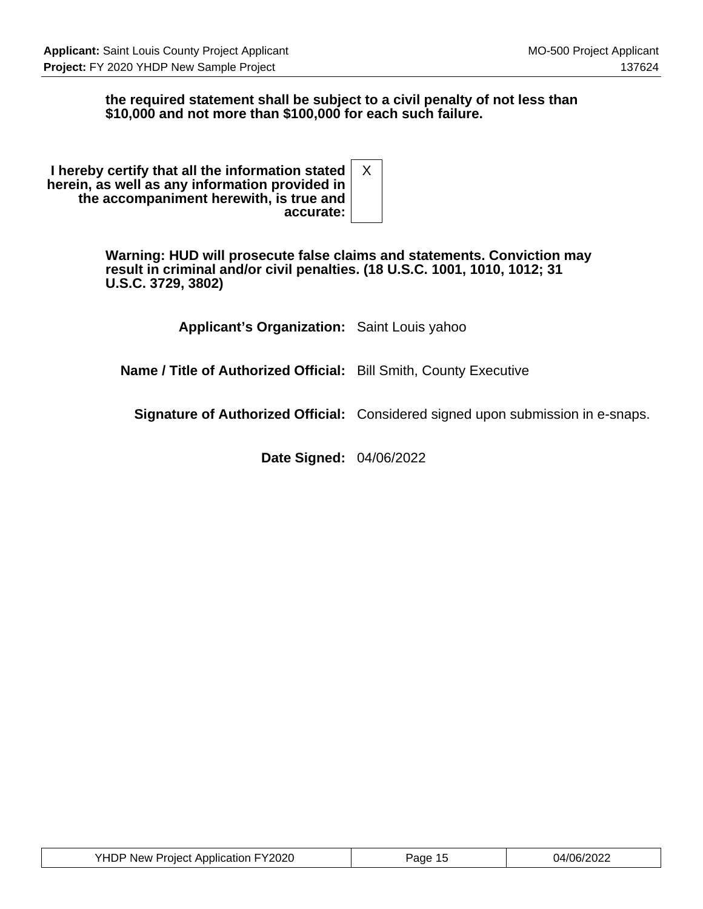### **the required statement shall be subject to a civil penalty of not less than \$10,000 and not more than \$100,000 for each such failure.**

**I hereby certify that all the information stated herein, as well as any information provided in the accompaniment herewith, is true and accurate:** X

> **Warning: HUD will prosecute false claims and statements. Conviction may result in criminal and/or civil penalties. (18 U.S.C. 1001, 1010, 1012; 31 U.S.C. 3729, 3802)**

> > **Applicant's Organization:** Saint Louis yahoo

**Name / Title of Authorized Official:** Bill Smith, County Executive

**Signature of Authorized Official:** Considered signed upon submission in e-snaps.

**Date Signed:** 04/06/2022

| YHDP New Project Application FY2020 | Page 15 | 04/06/2022 |
|-------------------------------------|---------|------------|
|-------------------------------------|---------|------------|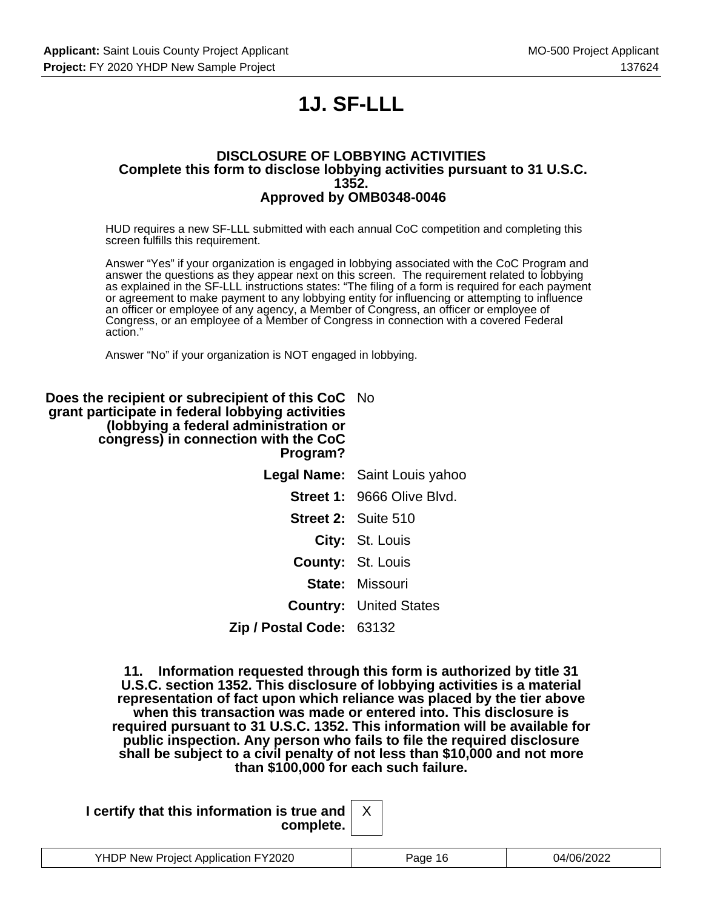# **1J. SF-LLL**

#### **DISCLOSURE OF LOBBYING ACTIVITIES Complete this form to disclose lobbying activities pursuant to 31 U.S.C. 1352. Approved by OMB0348-0046**

HUD requires a new SF-LLL submitted with each annual CoC competition and completing this screen fulfills this requirement.

Answer "Yes" if your organization is engaged in lobbying associated with the CoC Program and answer the questions as they appear next on this screen. The requirement related to lobbying as explained in the SF-LLL instructions states: "The filing of a form is required for each payment or agreement to make payment to any lobbying entity for influencing or attempting to influence an officer or employee of any agency, a Member of Congress, an officer or employee of Congress, or an employee of a Member of Congress in connection with a covered Federal action."

Answer "No" if your organization is NOT engaged in lobbying.

**Does the recipient or subrecipient of this CoC** No **grant participate in federal lobbying activities (lobbying a federal administration or congress) in connection with the CoC Program? Legal Name:** Saint Louis yahoo **Street 1:** 9666 Olive Blvd. **Street 2:** Suite 510 **City:** St. Louis **County:** St. Louis **State:** Missouri **Country:** United States **Zip / Postal Code:** 63132

> **11. Information requested through this form is authorized by title 31 U.S.C. section 1352. This disclosure of lobbying activities is a material representation of fact upon which reliance was placed by the tier above when this transaction was made or entered into. This disclosure is required pursuant to 31 U.S.C. 1352. This information will be available for public inspection. Any person who fails to file the required disclosure shall be subject to a civil penalty of not less than \$10,000 and not more than \$100,000 for each such failure.**

**I certify that this information is true and complete.**

| on FY2020<br>YHDP New .<br>Project<br>Application | zane. | יו זכי<br><u>JZZ</u> |
|---------------------------------------------------|-------|----------------------|
|---------------------------------------------------|-------|----------------------|

X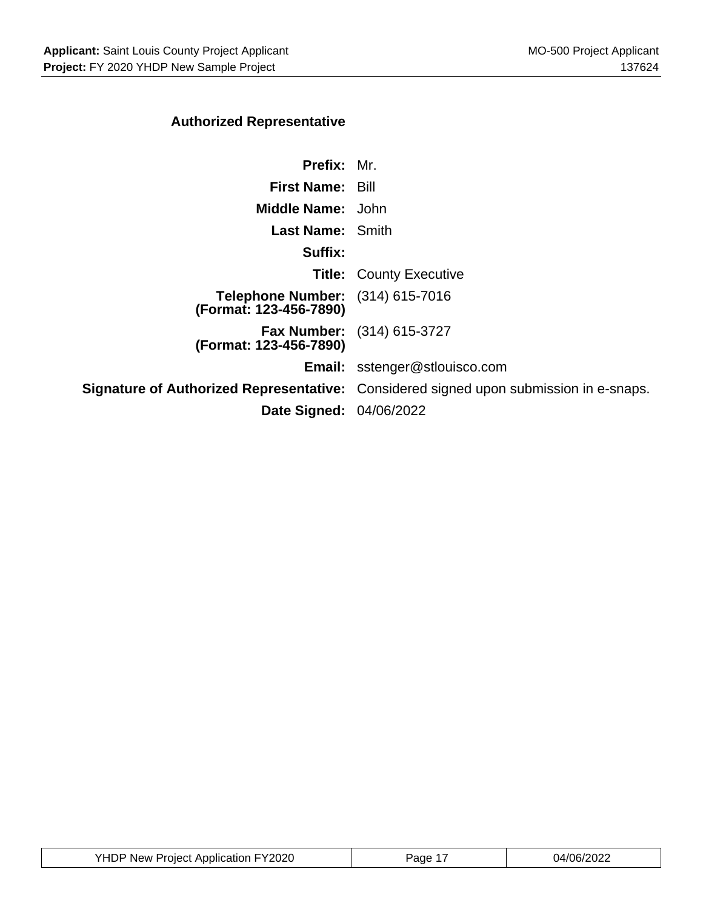### **Authorized Representative**

| <b>Prefix: Mr.</b>                                                |                                                                                              |
|-------------------------------------------------------------------|----------------------------------------------------------------------------------------------|
| <b>First Name: Bill</b>                                           |                                                                                              |
| Middle Name: John                                                 |                                                                                              |
| <b>Last Name: Smith</b>                                           |                                                                                              |
| Suffix:                                                           |                                                                                              |
|                                                                   | <b>Title: County Executive</b>                                                               |
| <b>Telephone Number:</b> (314) 615-7016<br>(Format: 123-456-7890) |                                                                                              |
| (Format: 123-456-7890)                                            | <b>Fax Number:</b> (314) 615-3727                                                            |
|                                                                   | <b>Email:</b> sstenger@stlouisco.com                                                         |
|                                                                   | <b>Signature of Authorized Representative:</b> Considered signed upon submission in e-snaps. |
| <b>Date Signed: 04/06/2022</b>                                    |                                                                                              |
|                                                                   |                                                                                              |

| YHDP New Project Application FY2020 | Page 17 | 04/06/2022 |
|-------------------------------------|---------|------------|
|-------------------------------------|---------|------------|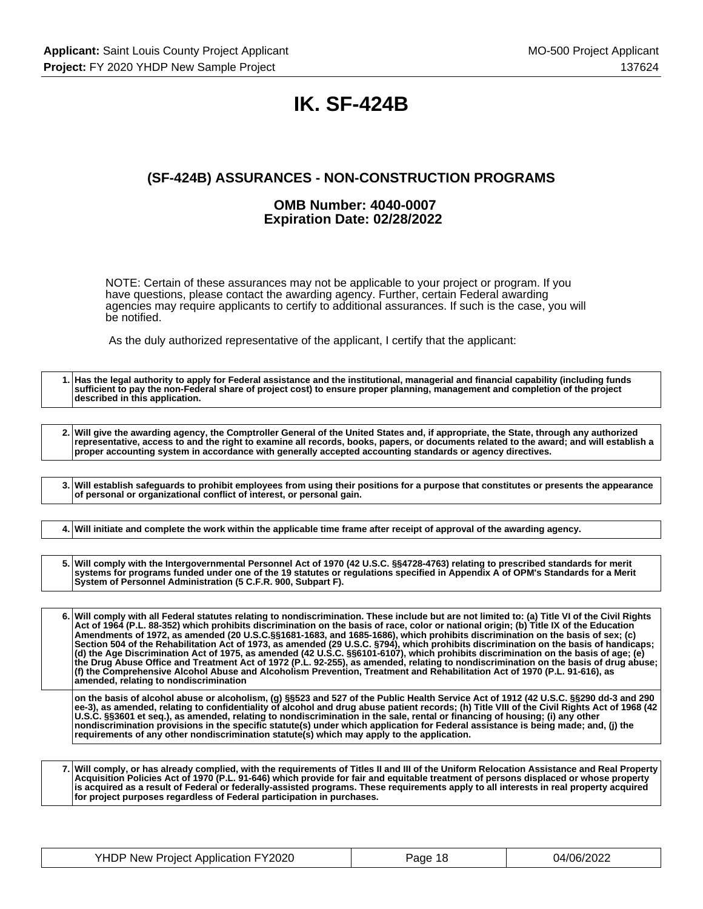### **IK. SF-424B**

### **(SF-424B) ASSURANCES - NON-CONSTRUCTION PROGRAMS**

#### **OMB Number: 4040-0007 Expiration Date: 02/28/2022**

NOTE: Certain of these assurances may not be applicable to your project or program. If you have questions, please contact the awarding agency. Further, certain Federal awarding agencies may require applicants to certify to additional assurances. If such is the case, you will be notified.

As the duly authorized representative of the applicant, I certify that the applicant:

**1. Has the legal authority to apply for Federal assistance and the institutional, managerial and financial capability (including funds sufficient to pay the non-Federal share of project cost) to ensure proper planning, management and completion of the project described in this application.**

**2. Will give the awarding agency, the Comptroller General of the United States and, if appropriate, the State, through any authorized representative, access to and the right to examine all records, books, papers, or documents related to the award; and will establish a proper accounting system in accordance with generally accepted accounting standards or agency directives.**

**3. Will establish safeguards to prohibit employees from using their positions for a purpose that constitutes or presents the appearance of personal or organizational conflict of interest, or personal gain.**

**4. Will initiate and complete the work within the applicable time frame after receipt of approval of the awarding agency.**

**5. Will comply with the Intergovernmental Personnel Act of 1970 (42 U.S.C. §§4728-4763) relating to prescribed standards for merit systems for programs funded under one of the 19 statutes or regulations specified in Appendix A of OPM's Standards for a Merit System of Personnel Administration (5 C.F.R. 900, Subpart F).**

**6. Will comply with all Federal statutes relating to nondiscrimination. These include but are not limited to: (a) Title VI of the Civil Rights Act of 1964 (P.L. 88-352) which prohibits discrimination on the basis of race, color or national origin; (b) Title IX of the Education Amendments of 1972, as amended (20 U.S.C.§§1681-1683, and 1685-1686), which prohibits discrimination on the basis of sex; (c) Section 504 of the Rehabilitation Act of 1973, as amended (29 U.S.C. §794), which prohibits discrimination on the basis of handicaps; (d) the Age Discrimination Act of 1975, as amended (42 U.S.C. §§6101-6107), which prohibits discrimination on the basis of age; (e) the Drug Abuse Office and Treatment Act of 1972 (P.L. 92-255), as amended, relating to nondiscrimination on the basis of drug abuse; (f) the Comprehensive Alcohol Abuse and Alcoholism Prevention, Treatment and Rehabilitation Act of 1970 (P.L. 91-616), as amended, relating to nondiscrimination**

**on the basis of alcohol abuse or alcoholism, (g) §§523 and 527 of the Public Health Service Act of 1912 (42 U.S.C. §§290 dd-3 and 290 ee-3), as amended, relating to confidentiality of alcohol and drug abuse patient records; (h) Title VIII of the Civil Rights Act of 1968 (42 U.S.C. §§3601 et seq.), as amended, relating to nondiscrimination in the sale, rental or financing of housing; (i) any other nondiscrimination provisions in the specific statute(s) under which application for Federal assistance is being made; and, (j) the requirements of any other nondiscrimination statute(s) which may apply to the application.**

**7. Will comply, or has already complied, with the requirements of Titles II and III of the Uniform Relocation Assistance and Real Property Acquisition Policies Act of 1970 (P.L. 91-646) which provide for fair and equitable treatment of persons displaced or whose property is acquired as a result of Federal or federally-assisted programs. These requirements apply to all interests in real property acquired for project purposes regardless of Federal participation in purchases.**

| YHDP New Project Application FY2020 | Page 18 | 04/06/2022 |
|-------------------------------------|---------|------------|
|-------------------------------------|---------|------------|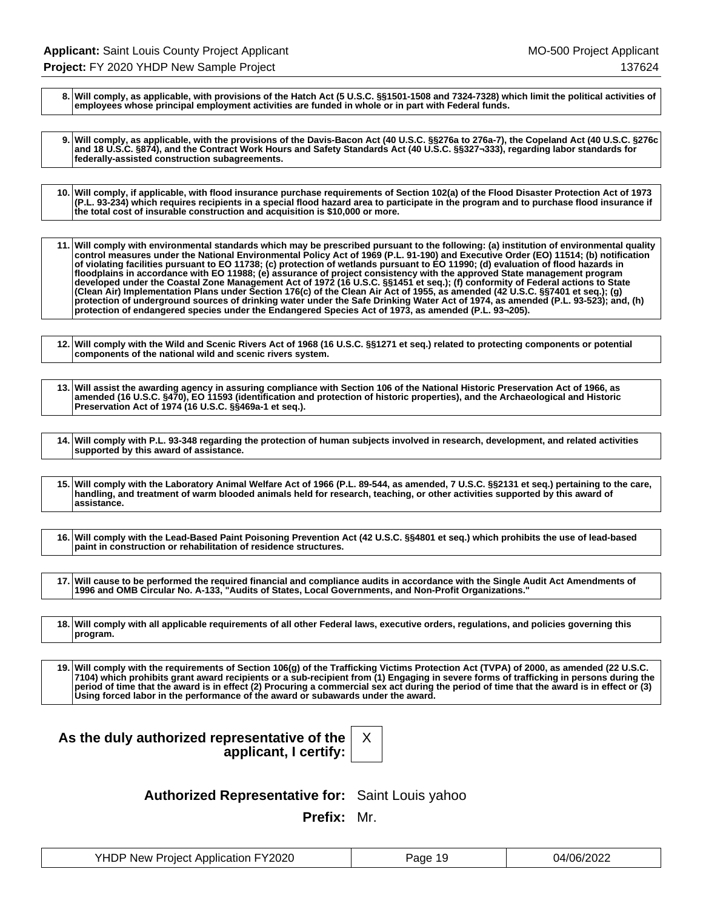**8. Will comply, as applicable, with provisions of the Hatch Act (5 U.S.C. §§1501-1508 and 7324-7328) which limit the political activities of employees whose principal employment activities are funded in whole or in part with Federal funds.**

**9. Will comply, as applicable, with the provisions of the Davis-Bacon Act (40 U.S.C. §§276a to 276a-7), the Copeland Act (40 U.S.C. §276c and 18 U.S.C. §874), and the Contract Work Hours and Safety Standards Act (40 U.S.C. §§327¬333), regarding labor standards for federally-assisted construction subagreements.**

**10. Will comply, if applicable, with flood insurance purchase requirements of Section 102(a) of the Flood Disaster Protection Act of 1973 (P.L. 93-234) which requires recipients in a special flood hazard area to participate in the program and to purchase flood insurance if the total cost of insurable construction and acquisition is \$10,000 or more.**

**11. Will comply with environmental standards which may be prescribed pursuant to the following: (a) institution of environmental quality control measures under the National Environmental Policy Act of 1969 (P.L. 91-190) and Executive Order (EO) 11514; (b) notification of violating facilities pursuant to EO 11738; (c) protection of wetlands pursuant to EO 11990; (d) evaluation of flood hazards in floodplains in accordance with EO 11988; (e) assurance of project consistency with the approved State management program developed under the Coastal Zone Management Act of 1972 (16 U.S.C. §§1451 et seq.); (f) conformity of Federal actions to State (Clean Air) Implementation Plans under Section 176(c) of the Clean Air Act of 1955, as amended (42 U.S.C. §§7401 et seq.); (g) protection of underground sources of drinking water under the Safe Drinking Water Act of 1974, as amended (P.L. 93-523); and, (h) protection of endangered species under the Endangered Species Act of 1973, as amended (P.L. 93¬205).**

**12. Will comply with the Wild and Scenic Rivers Act of 1968 (16 U.S.C. §§1271 et seq.) related to protecting components or potential components of the national wild and scenic rivers system.**

**13. Will assist the awarding agency in assuring compliance with Section 106 of the National Historic Preservation Act of 1966, as amended (16 U.S.C. §470), EO 11593 (identification and protection of historic properties), and the Archaeological and Historic Preservation Act of 1974 (16 U.S.C. §§469a-1 et seq.).**

**14. Will comply with P.L. 93-348 regarding the protection of human subjects involved in research, development, and related activities supported by this award of assistance.**

**15. Will comply with the Laboratory Animal Welfare Act of 1966 (P.L. 89-544, as amended, 7 U.S.C. §§2131 et seq.) pertaining to the care, handling, and treatment of warm blooded animals held for research, teaching, or other activities supported by this award of assistance.**

**16. Will comply with the Lead-Based Paint Poisoning Prevention Act (42 U.S.C. §§4801 et seq.) which prohibits the use of lead-based paint in construction or rehabilitation of residence structures.**

**17. Will cause to be performed the required financial and compliance audits in accordance with the Single Audit Act Amendments of 1996 and OMB Circular No. A-133, "Audits of States, Local Governments, and Non-Profit Organizations."**

**18. Will comply with all applicable requirements of all other Federal laws, executive orders, regulations, and policies governing this program.**

**19. Will comply with the requirements of Section 106(g) of the Trafficking Victims Protection Act (TVPA) of 2000, as amended (22 U.S.C. 7104) which prohibits grant award recipients or a sub-recipient from (1) Engaging in severe forms of trafficking in persons during the period of time that the award is in effect (2) Procuring a commercial sex act during the period of time that the award is in effect or (3) Using forced labor in the performance of the award or subawards under the award.**

| As the duly authorized representative of the $ $ |                       |
|--------------------------------------------------|-----------------------|
|                                                  | applicant, I certify: |



**Authorized Representative for:** Saint Louis yahoo

**Prefix:** Mr.

| YHDP New Project Application FY2020 | Page 19 | 04/06/2022 |
|-------------------------------------|---------|------------|
|-------------------------------------|---------|------------|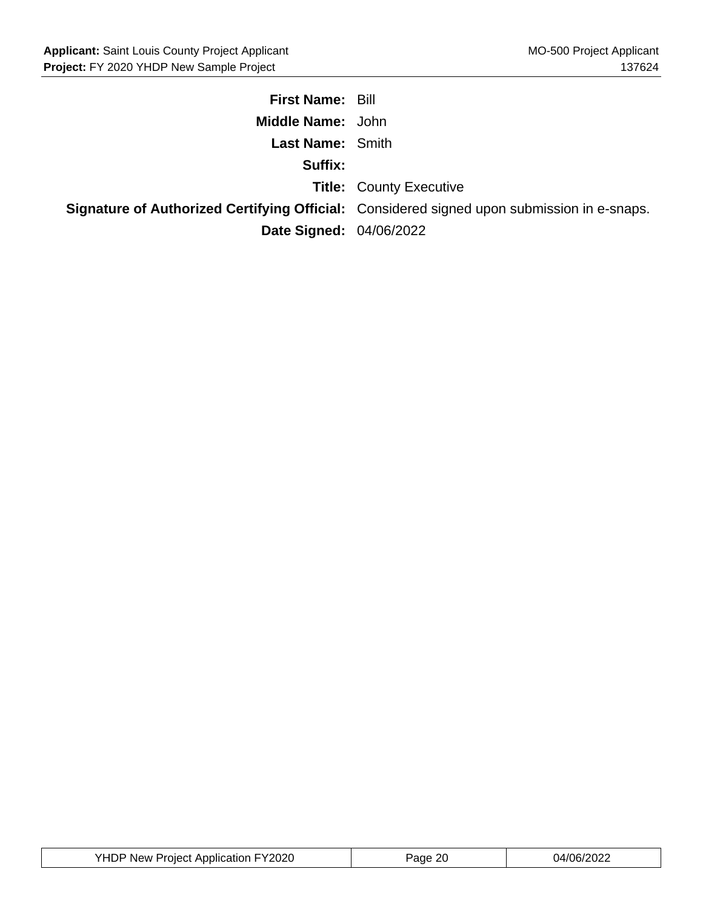| <b>First Name: Bill</b> |                                                                                            |
|-------------------------|--------------------------------------------------------------------------------------------|
| Middle Name: John       |                                                                                            |
| <b>Last Name: Smith</b> |                                                                                            |
| Suffix:                 |                                                                                            |
|                         | <b>Title: County Executive</b>                                                             |
|                         | Signature of Authorized Certifying Official: Considered signed upon submission in e-snaps. |
| Date Signed: 04/06/2022 |                                                                                            |

| YHDP New Project Application FY2020 | Page 20 | 04/06/2022 |
|-------------------------------------|---------|------------|
|-------------------------------------|---------|------------|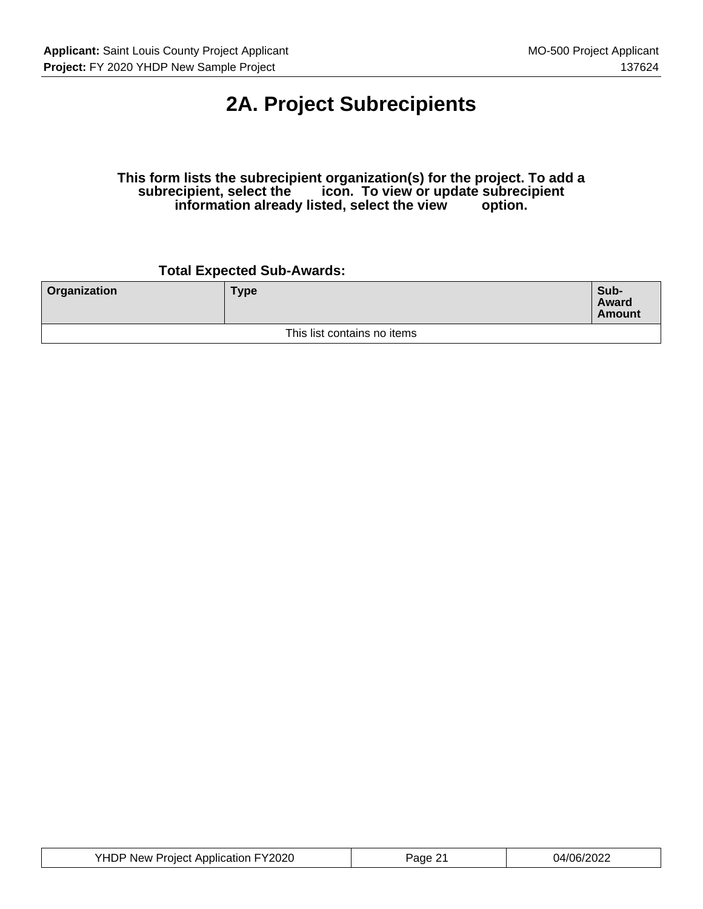# **2A. Project Subrecipients**

#### **This form lists the subrecipient organization(s) for the project. To add a subrecipient, select the icon. To view or update subrecipient information already listed, select the view option.**

### **Total Expected Sub-Awards:**

| <b>Organization</b>         | Type | Sub-<br>Award<br><b>Amount</b> |
|-----------------------------|------|--------------------------------|
| This list contains no items |      |                                |

| YHDP New Project Application FY2020 | Page 21 | 04/06/2022 |
|-------------------------------------|---------|------------|
|-------------------------------------|---------|------------|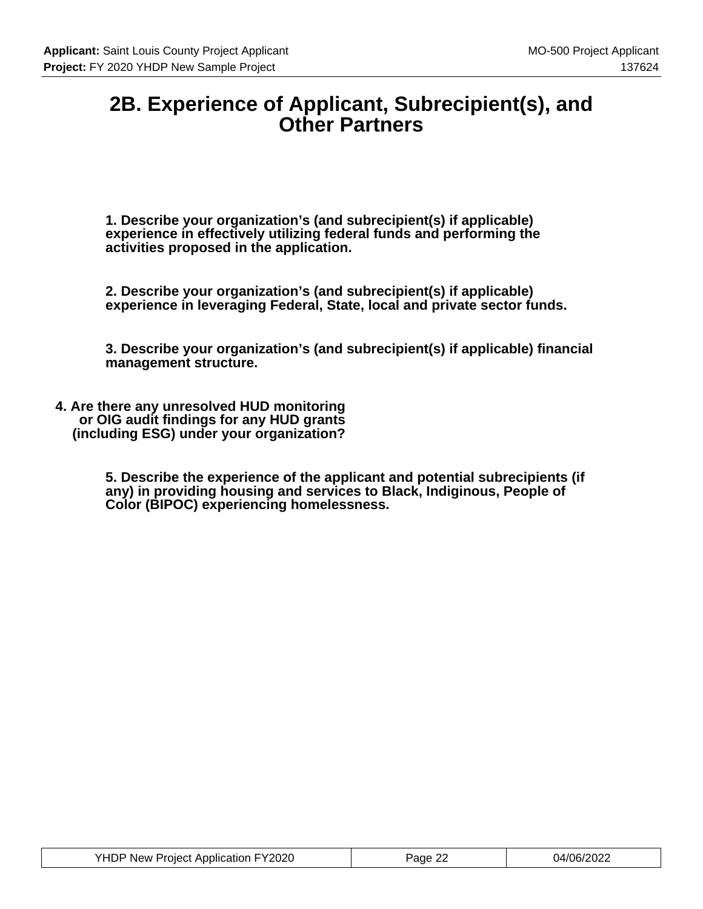### **2B. Experience of Applicant, Subrecipient(s), and Other Partners**

**1. Describe your organization's (and subrecipient(s) if applicable) experience in effectively utilizing federal funds and performing the activities proposed in the application.**

**2. Describe your organization's (and subrecipient(s) if applicable) experience in leveraging Federal, State, local and private sector funds.**

**3. Describe your organization's (and subrecipient(s) if applicable) financial management structure.**

**4. Are there any unresolved HUD monitoring or OIG audit findings for any HUD grants (including ESG) under your organization?**

> **5. Describe the experience of the applicant and potential subrecipients (if any) in providing housing and services to Black, Indiginous, People of Color (BIPOC) experiencing homelessness.**

| YHDP New Project Application FY2020 | Page 22 | 04/06/2022 |
|-------------------------------------|---------|------------|
|-------------------------------------|---------|------------|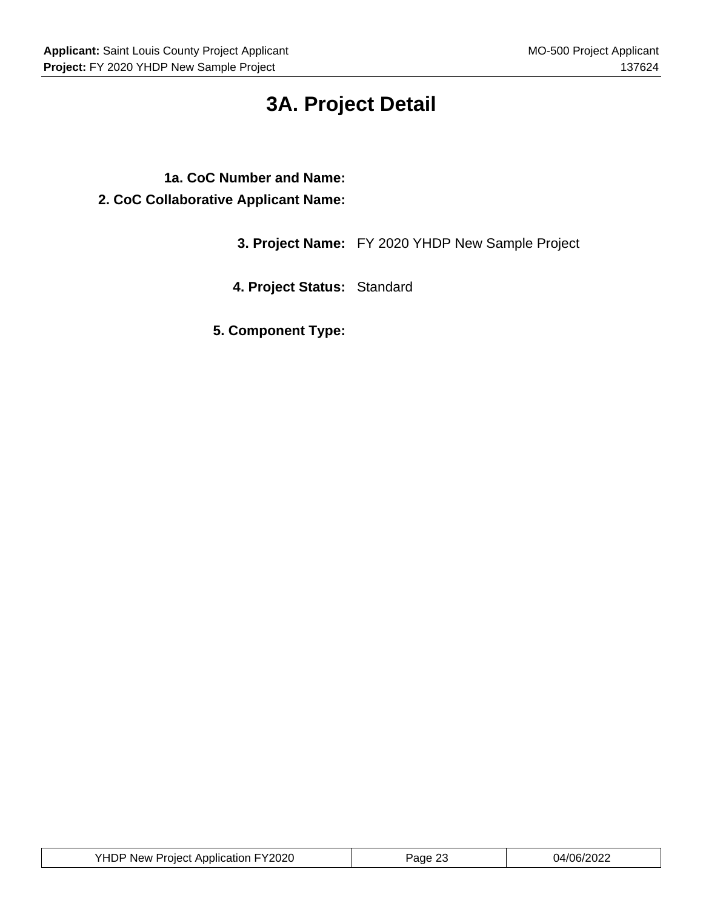# **3A. Project Detail**

**1a. CoC Number and Name:**

**2. CoC Collaborative Applicant Name:**

**3. Project Name:** FY 2020 YHDP New Sample Project

**4. Project Status:** Standard

**5. Component Type:**

| YHDP New Project Application FY2020 | Page 23 | 04/06/2022 |
|-------------------------------------|---------|------------|
|-------------------------------------|---------|------------|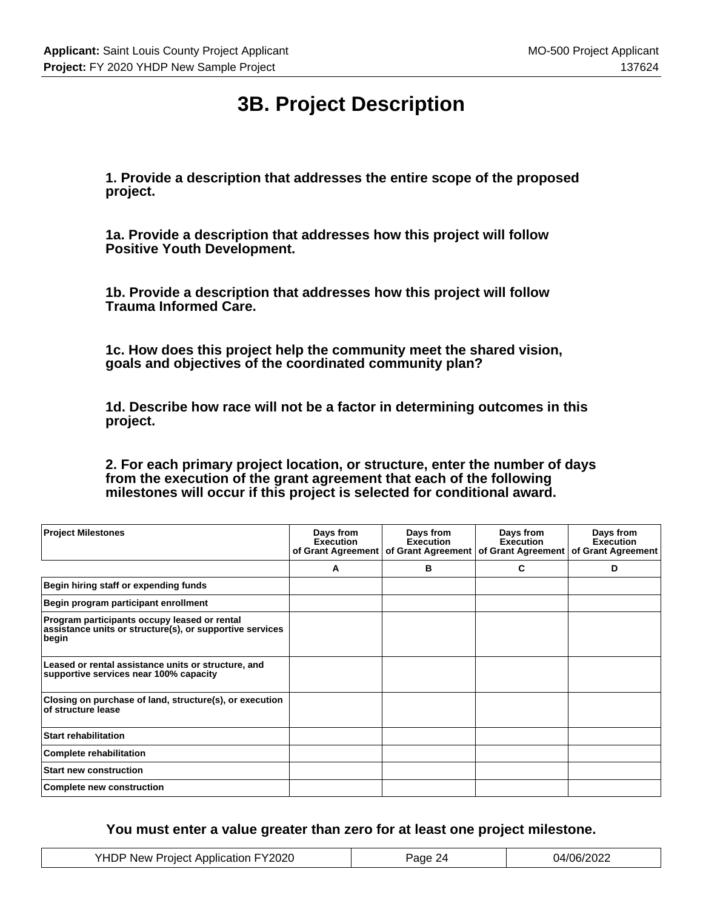# **3B. Project Description**

**1. Provide a description that addresses the entire scope of the proposed project.**

**1a. Provide a description that addresses how this project will follow Positive Youth Development.**

**1b. Provide a description that addresses how this project will follow Trauma Informed Care.**

**1c. How does this project help the community meet the shared vision, goals and objectives of the coordinated community plan?**

**1d. Describe how race will not be a factor in determining outcomes in this project.**

**2. For each primary project location, or structure, enter the number of days from the execution of the grant agreement that each of the following milestones will occur if this project is selected for conditional award.**

| <b>Project Milestones</b>                                                                                         | Days from<br><b>Execution</b> | Days from<br><b>Execution</b><br>of Grant Agreement   of Grant Agreement | Days from<br>Execution<br>of Grant Agreement | Days from<br><b>Execution</b><br>of Grant Agreement |
|-------------------------------------------------------------------------------------------------------------------|-------------------------------|--------------------------------------------------------------------------|----------------------------------------------|-----------------------------------------------------|
|                                                                                                                   | А                             | в                                                                        | C                                            | D                                                   |
| Begin hiring staff or expending funds                                                                             |                               |                                                                          |                                              |                                                     |
| Begin program participant enrollment                                                                              |                               |                                                                          |                                              |                                                     |
| Program participants occupy leased or rental<br>assistance units or structure(s), or supportive services<br>begin |                               |                                                                          |                                              |                                                     |
| Leased or rental assistance units or structure, and<br>supportive services near 100% capacity                     |                               |                                                                          |                                              |                                                     |
| Closing on purchase of land, structure(s), or execution<br>of structure lease                                     |                               |                                                                          |                                              |                                                     |
| <b>Start rehabilitation</b>                                                                                       |                               |                                                                          |                                              |                                                     |
| <b>Complete rehabilitation</b>                                                                                    |                               |                                                                          |                                              |                                                     |
| <b>Start new construction</b>                                                                                     |                               |                                                                          |                                              |                                                     |
| <b>Complete new construction</b>                                                                                  |                               |                                                                          |                                              |                                                     |

#### **You must enter a value greater than zero for at least one project milestone.**

| YHDP New Project Application FY2020 | Page 24 | 04/06/2022 |
|-------------------------------------|---------|------------|
|-------------------------------------|---------|------------|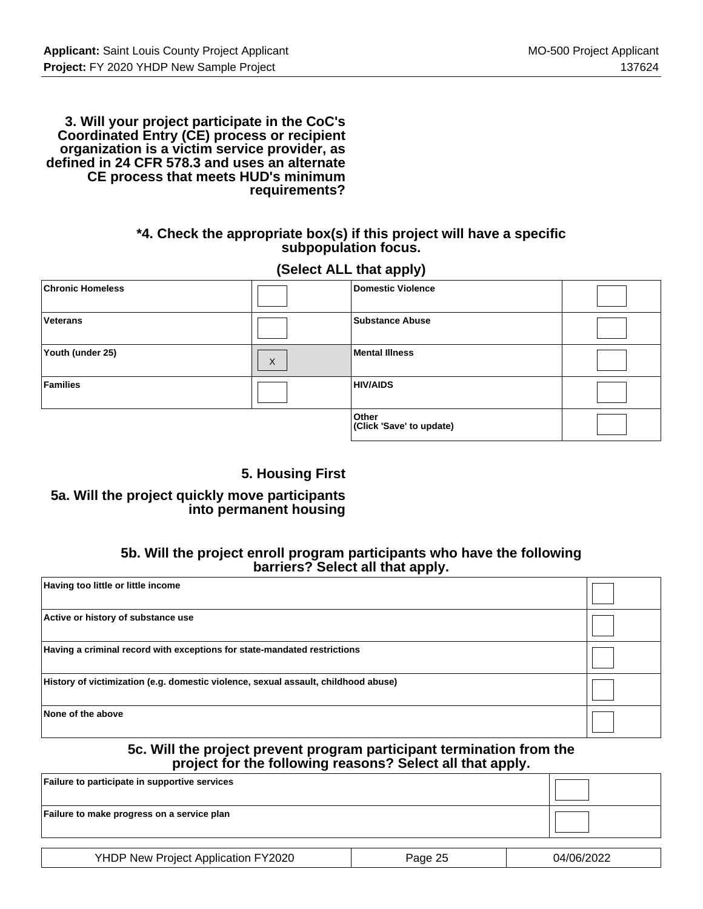#### **3. Will your project participate in the CoC's Coordinated Entry (CE) process or recipient organization is a victim service provider, as defined in 24 CFR 578.3 and uses an alternate CE process that meets HUD's minimum requirements?**

### **\*4. Check the appropriate box(s) if this project will have a specific subpopulation focus.**

### **(Select ALL that apply)**

| <b>Chronic Homeless</b> |                           | Domestic Violence                 |  |
|-------------------------|---------------------------|-----------------------------------|--|
| <b>Veterans</b>         |                           | <b>Substance Abuse</b>            |  |
| Youth (under 25)        | $\checkmark$<br>$\lambda$ | Mental Illness                    |  |
| Families                |                           | <b>HIV/AIDS</b>                   |  |
|                         |                           | Other<br>(Click 'Save' to update) |  |

### **5. Housing First**

### **5a. Will the project quickly move participants into permanent housing**

#### **5b. Will the project enroll program participants who have the following barriers? Select all that apply.**

| Having too little or little income                                                 |  |
|------------------------------------------------------------------------------------|--|
| Active or history of substance use                                                 |  |
| Having a criminal record with exceptions for state-mandated restrictions           |  |
| History of victimization (e.g. domestic violence, sexual assault, childhood abuse) |  |
| None of the above                                                                  |  |

#### **5c. Will the project prevent program participant termination from the project for the following reasons? Select all that apply.**

| Failure to participate in supportive services |  |
|-----------------------------------------------|--|
| Failure to make progress on a service plan    |  |

| YHDP New Project Application FY2020 | Page 25 | 04/06/2022 |
|-------------------------------------|---------|------------|
|-------------------------------------|---------|------------|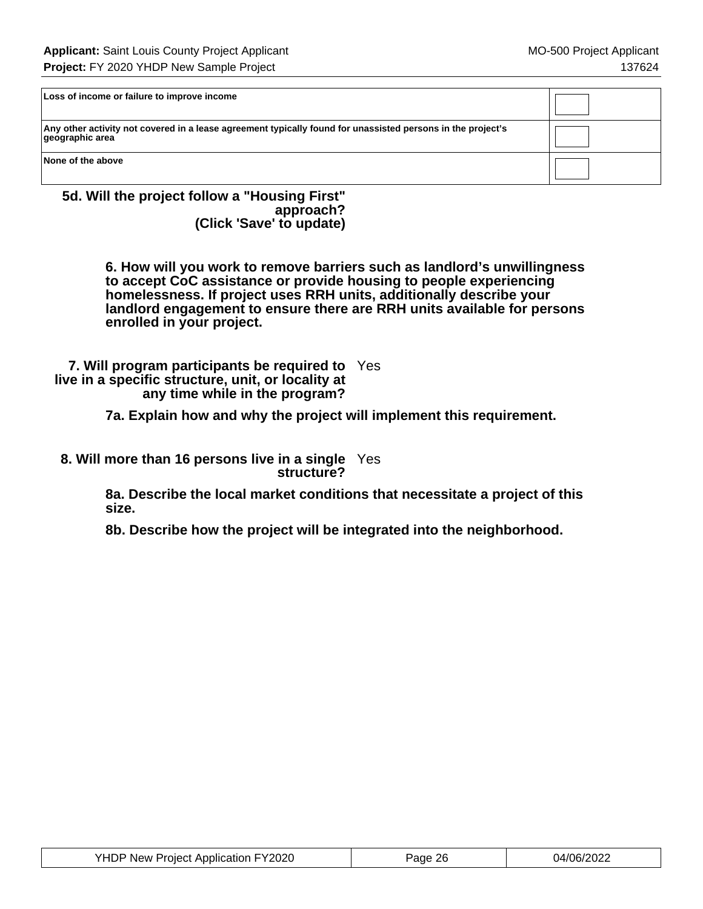| Loss of income or failure to improve income                                                                                 |  |
|-----------------------------------------------------------------------------------------------------------------------------|--|
| Any other activity not covered in a lease agreement typically found for unassisted persons in the project's geographic area |  |
| None of the above                                                                                                           |  |

**5d. Will the project follow a "Housing First" approach? (Click 'Save' to update)**

> **6. How will you work to remove barriers such as landlord's unwillingness to accept CoC assistance or provide housing to people experiencing homelessness. If project uses RRH units, additionally describe your landlord engagement to ensure there are RRH units available for persons enrolled in your project.**

**7. Will program participants be required to** Yes **live in a specific structure, unit, or locality at any time while in the program?**

**7a. Explain how and why the project will implement this requirement.**

**8. Will more than 16 persons live in a single** Yes **structure?**

> **8a. Describe the local market conditions that necessitate a project of this size.**

**8b. Describe how the project will be integrated into the neighborhood.**

| YHDP New Project Application FY2020 | Page 26 | 04/06/2022 |
|-------------------------------------|---------|------------|
|-------------------------------------|---------|------------|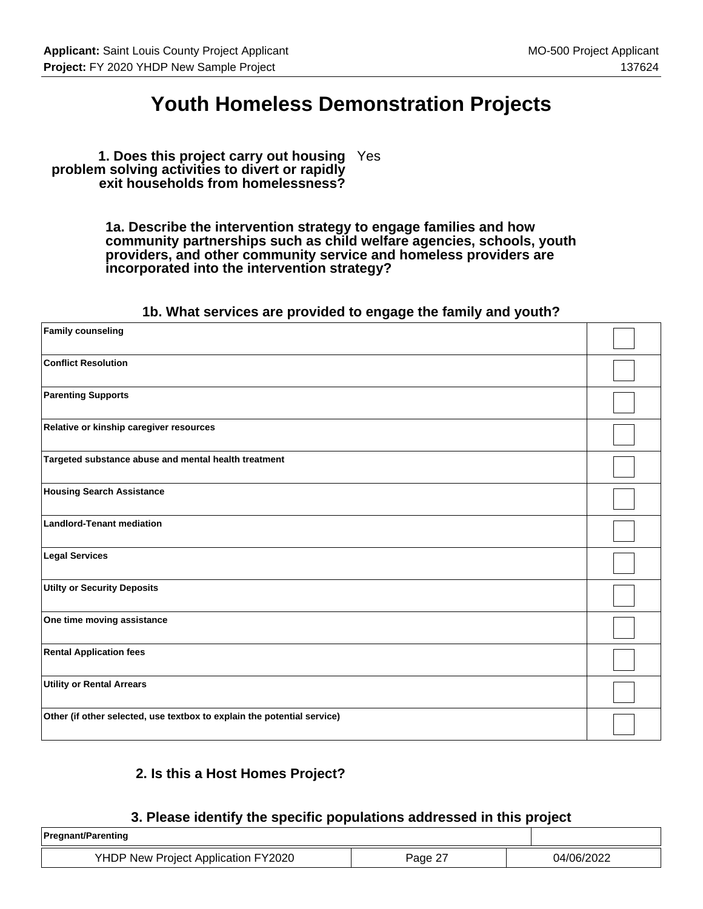### **Youth Homeless Demonstration Projects**

#### **1. Does this project carry out housing problem solving activities to divert or rapidly exit households from homelessness?** Yes

**1a. Describe the intervention strategy to engage families and how community partnerships such as child welfare agencies, schools, youth providers, and other community service and homeless providers are incorporated into the intervention strategy?**

### **1b. What services are provided to engage the family and youth?**

| <b>Family counseling</b>                                                |  |
|-------------------------------------------------------------------------|--|
| <b>Conflict Resolution</b>                                              |  |
| <b>Parenting Supports</b>                                               |  |
| Relative or kinship caregiver resources                                 |  |
| Targeted substance abuse and mental health treatment                    |  |
| <b>Housing Search Assistance</b>                                        |  |
| <b>Landlord-Tenant mediation</b>                                        |  |
| <b>Legal Services</b>                                                   |  |
| <b>Utilty or Security Deposits</b>                                      |  |
| One time moving assistance                                              |  |
| <b>Rental Application fees</b>                                          |  |
| <b>Utility or Rental Arrears</b>                                        |  |
| Other (if other selected, use textbox to explain the potential service) |  |

### **2. Is this a Host Homes Project?**

### **3. Please identify the specific populations addressed in this project**

| <b>Pregnant/Parenting</b>              |                     |            |
|----------------------------------------|---------------------|------------|
| YHDP New Project Application<br>FY2020 | <sup>2</sup> age 27 | 04/06/2022 |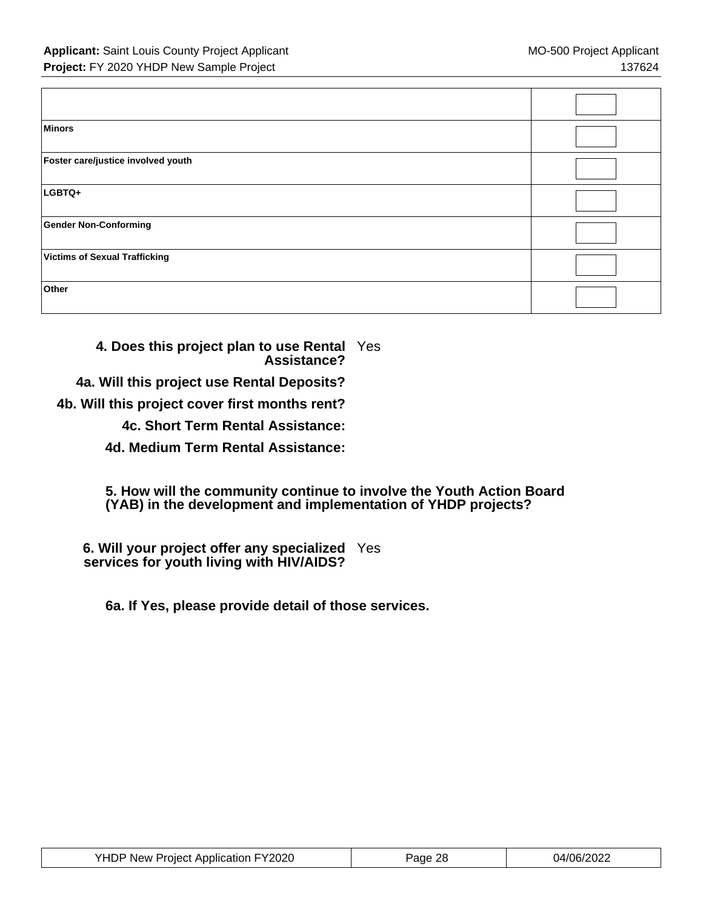| Minors                               |  |
|--------------------------------------|--|
| Foster care/justice involved youth   |  |
| LGBTQ+                               |  |
| <b>Gender Non-Conforming</b>         |  |
| <b>Victims of Sexual Trafficking</b> |  |
| Other                                |  |

- **4. Does this project plan to use Rental** Yes **Assistance?**
- **4a. Will this project use Rental Deposits?**
- **4b. Will this project cover first months rent?**
	- **4c. Short Term Rental Assistance:**
	- **4d. Medium Term Rental Assistance:**

### **5. How will the community continue to involve the Youth Action Board (YAB) in the development and implementation of YHDP projects?**

**6. Will your project offer any specialized** Yes **services for youth living with HIV/AIDS?**

**6a. If Yes, please provide detail of those services.**

| YHDP New Project Application FY2020 | Page 28 | 04/06/2022 |
|-------------------------------------|---------|------------|
|-------------------------------------|---------|------------|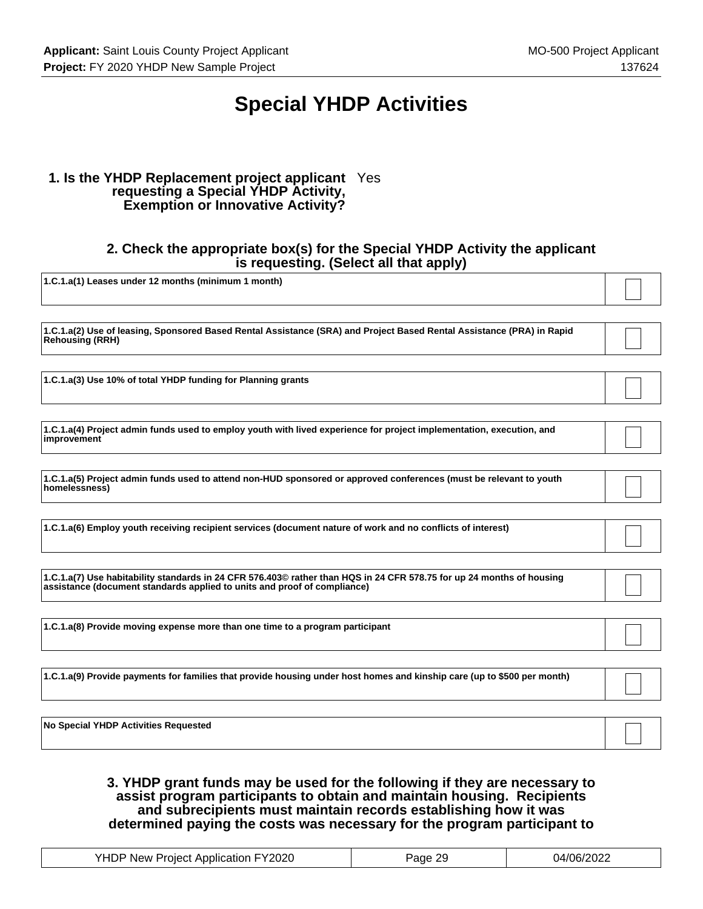# **Special YHDP Activities**

#### **1. Is the YHDP Replacement project applicant** Yes **requesting a Special YHDP Activity, Exemption or Innovative Activity?**

#### **2. Check the appropriate box(s) for the Special YHDP Activity the applicant is requesting. (Select all that apply)**

| 1.C.1.a(1) Leases under 12 months (minimum 1 month)                                                                                                                                               |  |
|---------------------------------------------------------------------------------------------------------------------------------------------------------------------------------------------------|--|
|                                                                                                                                                                                                   |  |
| 1.C.1.a(2) Use of leasing, Sponsored Based Rental Assistance (SRA) and Project Based Rental Assistance (PRA) in Rapid<br><b>Rehousing (RRH)</b>                                                   |  |
| 1.C.1.a(3) Use 10% of total YHDP funding for Planning grants                                                                                                                                      |  |
|                                                                                                                                                                                                   |  |
| 1.C.1.a(4) Project admin funds used to employ youth with lived experience for project implementation, execution, and                                                                              |  |
| <i>improvement</i>                                                                                                                                                                                |  |
| 1.C.1.a(5) Project admin funds used to attend non-HUD sponsored or approved conferences (must be relevant to youth                                                                                |  |
| homelessness)                                                                                                                                                                                     |  |
| 1.C.1.a(6) Employ youth receiving recipient services (document nature of work and no conflicts of interest)                                                                                       |  |
|                                                                                                                                                                                                   |  |
|                                                                                                                                                                                                   |  |
| 1.C.1.a(7) Use habitability standards in 24 CFR 576.403© rather than HQS in 24 CFR 578.75 for up 24 months of housing<br>assistance (document standards applied to units and proof of compliance) |  |
|                                                                                                                                                                                                   |  |
| 1.C.1.a(8) Provide moving expense more than one time to a program participant                                                                                                                     |  |
|                                                                                                                                                                                                   |  |
| 1.C.1.a(9) Provide payments for families that provide housing under host homes and kinship care (up to \$500 per month)                                                                           |  |
|                                                                                                                                                                                                   |  |
| No Special YHDP Activities Requested                                                                                                                                                              |  |
|                                                                                                                                                                                                   |  |

**3. YHDP grant funds may be used for the following if they are necessary to assist program participants to obtain and maintain housing. Recipients and subrecipients must maintain records establishing how it was determined paying the costs was necessary for the program participant to**

| Y2020<br>YHDP.<br>Annlication<br>Project<br>cation<br><b>New</b> | ാവ<br>90 H | . 24/06<br>/2022 |
|------------------------------------------------------------------|------------|------------------|
|------------------------------------------------------------------|------------|------------------|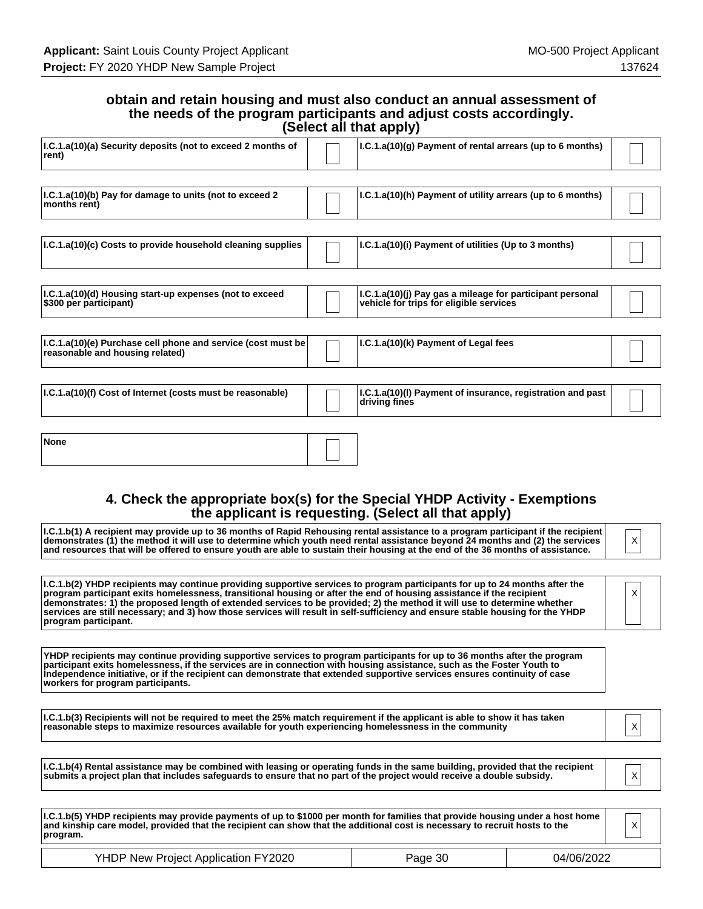#### **obtain and retain housing and must also conduct an annual assessment of the needs of the program participants and adjust costs accordingly. (Select all that apply)**

| (Select all that apply)                                                                                                                                                                                                                                                                                                                                                                                                                                                                                                                        |  |                                                                                                      |            |   |
|------------------------------------------------------------------------------------------------------------------------------------------------------------------------------------------------------------------------------------------------------------------------------------------------------------------------------------------------------------------------------------------------------------------------------------------------------------------------------------------------------------------------------------------------|--|------------------------------------------------------------------------------------------------------|------------|---|
| I.C.1.a(10)(a) Security deposits (not to exceed 2 months of<br>rent)                                                                                                                                                                                                                                                                                                                                                                                                                                                                           |  | I.C.1.a(10)(g) Payment of rental arrears (up to 6 months)                                            |            |   |
| I.C.1.a(10)(b) Pay for damage to units (not to exceed 2<br>months rent)                                                                                                                                                                                                                                                                                                                                                                                                                                                                        |  | I.C.1.a(10)(h) Payment of utility arrears (up to 6 months)                                           |            |   |
| I.C.1.a(10)(c) Costs to provide household cleaning supplies                                                                                                                                                                                                                                                                                                                                                                                                                                                                                    |  | I.C.1.a(10)(i) Payment of utilities (Up to 3 months)                                                 |            |   |
| I.C.1.a(10)(d) Housing start-up expenses (not to exceed<br>\$300 per participant)                                                                                                                                                                                                                                                                                                                                                                                                                                                              |  | I.C.1.a(10)(j) Pay gas a mileage for participant personal<br>vehicle for trips for eligible services |            |   |
| I.C.1.a(10)(e) Purchase cell phone and service (cost must be<br>reasonable and housing related)                                                                                                                                                                                                                                                                                                                                                                                                                                                |  | I.C.1.a(10)(k) Payment of Legal fees                                                                 |            |   |
| I.C.1.a(10)(f) Cost of Internet (costs must be reasonable)                                                                                                                                                                                                                                                                                                                                                                                                                                                                                     |  | I.C.1.a(10)(I) Payment of insurance, registration and past<br>driving fines                          |            |   |
| <b>None</b>                                                                                                                                                                                                                                                                                                                                                                                                                                                                                                                                    |  |                                                                                                      |            |   |
| 4. Check the appropriate box(s) for the Special YHDP Activity - Exemptions<br>the applicant is requesting. (Select all that apply)                                                                                                                                                                                                                                                                                                                                                                                                             |  |                                                                                                      |            |   |
| I.C.1.b(1) A recipient may provide up to 36 months of Rapid Rehousing rental assistance to a program participant if the recipient<br>demonstrates (1) the method it will use to determine which youth need rental assistance beyond 24 months and (2) the services<br>X<br>and resources that will be offered to ensure youth are able to sustain their housing at the end of the 36 months of assistance.                                                                                                                                     |  |                                                                                                      |            |   |
| I.C.1.b(2) YHDP recipients may continue providing supportive services to program participants for up to 24 months after the<br>program participant exits homelessness, transitional housing or after the end of housing assistance if the recipient<br>X<br>demonstrates: 1) the proposed length of extended services to be provided; 2) the method it will use to determine whether<br>services are still necessary; and 3) how those services will result in self-sufficiency and ensure stable housing for the YHDP<br>program participant. |  |                                                                                                      |            |   |
| YHDP recipients may continue providing supportive services to program participants for up to 36 months after the program<br>participant exits homelessness, if the services are in connection with housing assistance, such as the Foster Youth to<br>Independence initiative, or if the recipient can demonstrate that extended supportive services ensures continuity of case<br>workers for program participants.                                                                                                                           |  |                                                                                                      |            |   |
| I.C.1.b(3) Recipients will not be required to meet the 25% match requirement if the applicant is able to show it has taken<br>reasonable steps to maximize resources available for youth experiencing homelessness in the community                                                                                                                                                                                                                                                                                                            |  |                                                                                                      |            | х |
| I.C.1.b(4) Rental assistance may be combined with leasing or operating funds in the same building, provided that the recipient<br>submits a project plan that includes safequards to ensure that no part of the project would receive a double subsidy.                                                                                                                                                                                                                                                                                        |  |                                                                                                      |            | Х |
| I.C.1.b(5) YHDP recipients may provide payments of up to \$1000 per month for families that provide housing under a host home<br>and kinship care model, provided that the recipient can show that the additional cost is necessary to recruit hosts to the<br>Х<br>program.                                                                                                                                                                                                                                                                   |  |                                                                                                      |            |   |
| YHDP New Project Application FY2020                                                                                                                                                                                                                                                                                                                                                                                                                                                                                                            |  | Page 30                                                                                              | 04/06/2022 |   |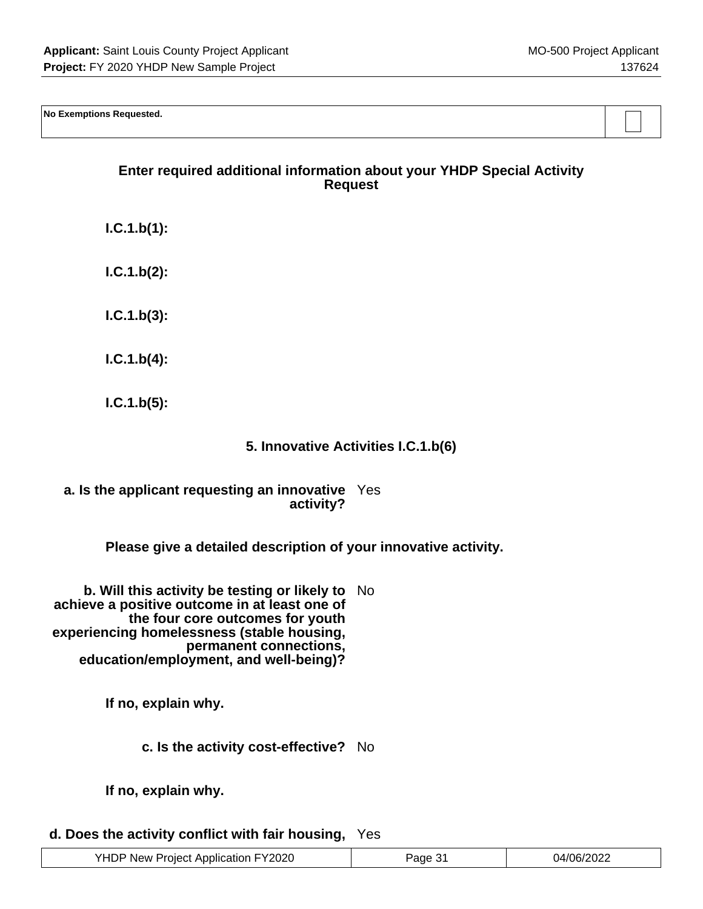**No Exemptions Requested.**

### **Enter required additional information about your YHDP Special Activity Request**

**I.C.1.b(1):**

**I.C.1.b(2):**

**I.C.1.b(3):**

**I.C.1.b(4):**

**I.C.1.b(5):**

#### **5. Innovative Activities I.C.1.b(6)**

**a. Is the applicant requesting an innovative** Yes **activity?**

**Please give a detailed description of your innovative activity.**

**b. Will this activity be testing or likely to** No **achieve a positive outcome in at least one of the four core outcomes for youth experiencing homelessness (stable housing, permanent connections, education/employment, and well-being)?**

**If no, explain why.**

**c. Is the activity cost-effective?** No

**If no, explain why.**

#### **d. Does the activity conflict with fair housing,** Yes

| YHDP New Project Application FY2020 | $P$ age 3 <sup>1</sup> | 04/06/2022 |
|-------------------------------------|------------------------|------------|
|-------------------------------------|------------------------|------------|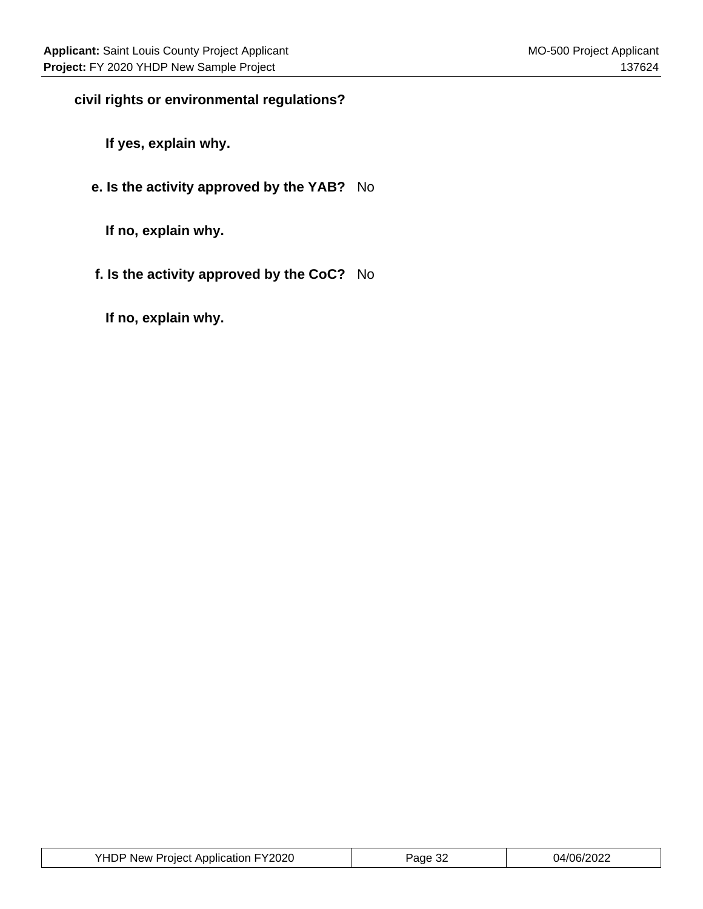### **civil rights or environmental regulations?**

**If yes, explain why.**

**e. Is the activity approved by the YAB?** No

**If no, explain why.**

**f. Is the activity approved by the CoC?** No

**If no, explain why.**

| YHDP New Project Application FY2020 | Page 32 | 04/06/2022 |
|-------------------------------------|---------|------------|
|-------------------------------------|---------|------------|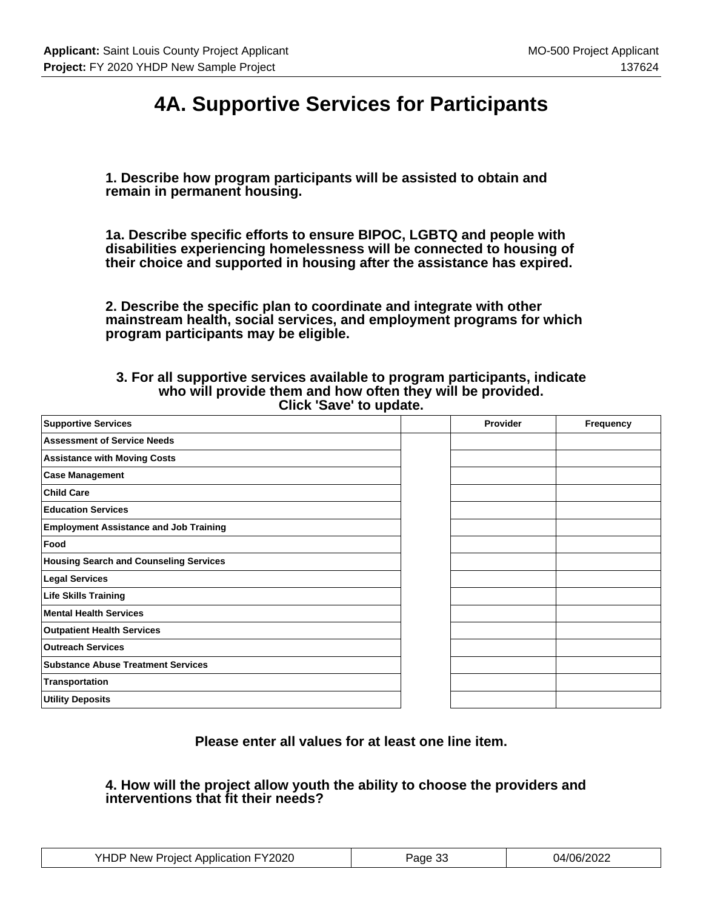### **4A. Supportive Services for Participants**

**1. Describe how program participants will be assisted to obtain and remain in permanent housing.**

**1a. Describe specific efforts to ensure BIPOC, LGBTQ and people with disabilities experiencing homelessness will be connected to housing of their choice and supported in housing after the assistance has expired.**

**2. Describe the specific plan to coordinate and integrate with other mainstream health, social services, and employment programs for which program participants may be eligible.**

#### **3. For all supportive services available to program participants, indicate who will provide them and how often they will be provided. Click 'Save' to update.**

| <b>Supportive Services</b>                    | Provider | Frequency |
|-----------------------------------------------|----------|-----------|
| <b>Assessment of Service Needs</b>            |          |           |
| <b>Assistance with Moving Costs</b>           |          |           |
| <b>Case Management</b>                        |          |           |
| <b>Child Care</b>                             |          |           |
| <b>Education Services</b>                     |          |           |
| <b>Employment Assistance and Job Training</b> |          |           |
| Food                                          |          |           |
| <b>Housing Search and Counseling Services</b> |          |           |
| <b>Legal Services</b>                         |          |           |
| <b>Life Skills Training</b>                   |          |           |
| <b>Mental Health Services</b>                 |          |           |
| <b>Outpatient Health Services</b>             |          |           |
| <b>Outreach Services</b>                      |          |           |
| <b>Substance Abuse Treatment Services</b>     |          |           |
| Transportation                                |          |           |
| <b>Utility Deposits</b>                       |          |           |

### **Please enter all values for at least one line item.**

### **4. How will the project allow youth the ability to choose the providers and interventions that fit their needs?**

| YHDP New Project Application FY2020 | Page 33 | 04/06/2022 |
|-------------------------------------|---------|------------|
|-------------------------------------|---------|------------|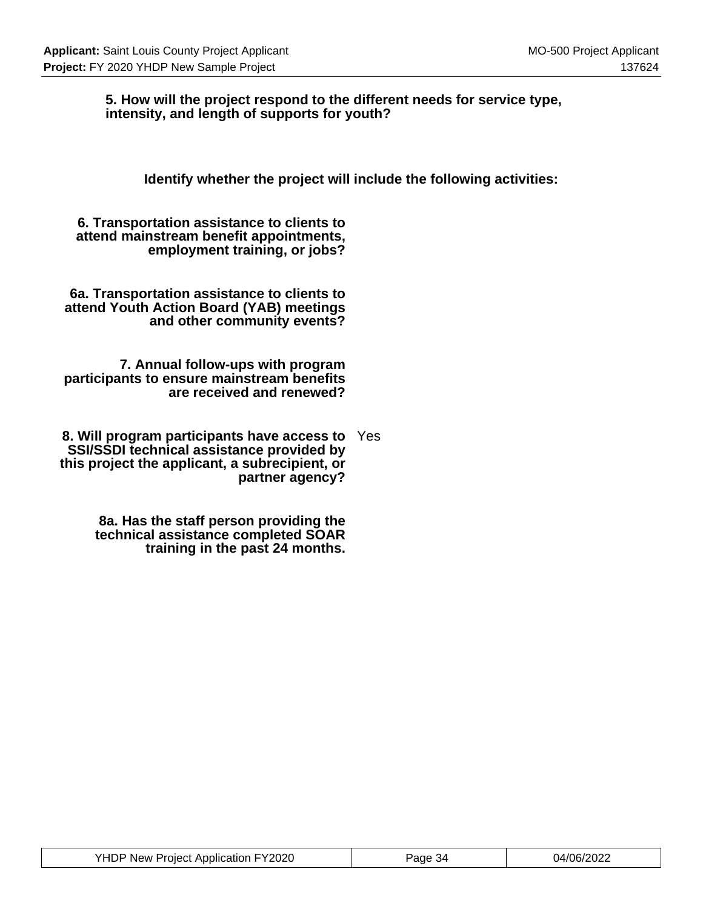### **5. How will the project respond to the different needs for service type, intensity, and length of supports for youth?**

**Identify whether the project will include the following activities:**

**6. Transportation assistance to clients to attend mainstream benefit appointments, employment training, or jobs?**

**6a. Transportation assistance to clients to attend Youth Action Board (YAB) meetings and other community events?**

**7. Annual follow-ups with program participants to ensure mainstream benefits are received and renewed?**

**8. Will program participants have access to** Yes **SSI/SSDI technical assistance provided by this project the applicant, a subrecipient, or partner agency?**

> **8a. Has the staff person providing the technical assistance completed SOAR training in the past 24 months.**

| YHDP New Project Application FY2020 | Page 34 | 04/06/2022 |
|-------------------------------------|---------|------------|
|-------------------------------------|---------|------------|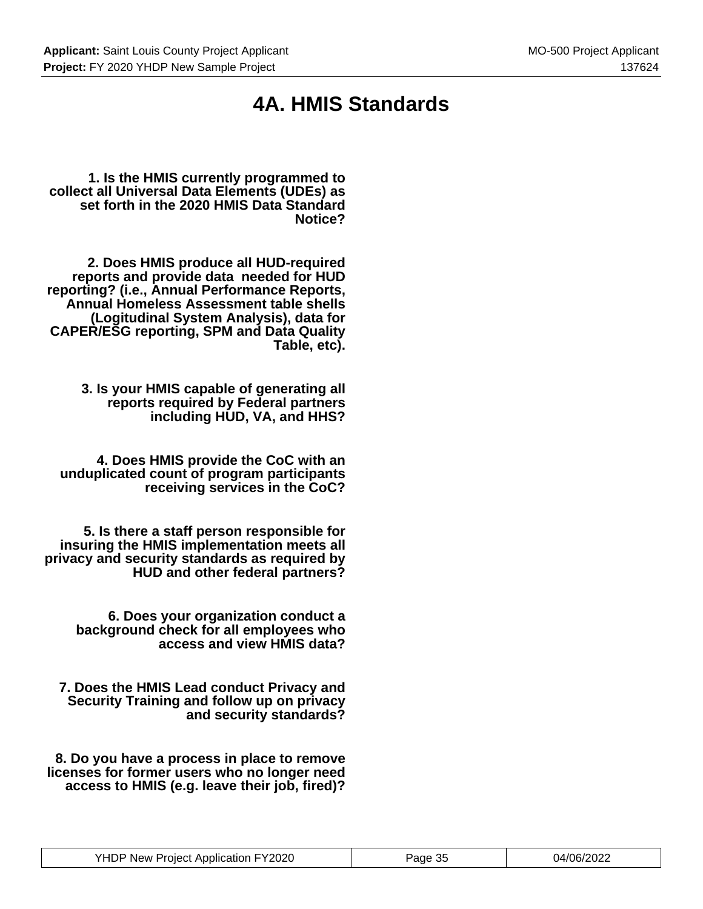## **4A. HMIS Standards**

**1. Is the HMIS currently programmed to collect all Universal Data Elements (UDEs) as set forth in the 2020 HMIS Data Standard Notice?**

**2. Does HMIS produce all HUD-required reports and provide data needed for HUD reporting? (i.e., Annual Performance Reports, Annual Homeless Assessment table shells (Logitudinal System Analysis), data for CAPER/ESG reporting, SPM and Data Quality Table, etc).**

> **3. Is your HMIS capable of generating all reports required by Federal partners including HUD, VA, and HHS?**

**4. Does HMIS provide the CoC with an unduplicated count of program participants receiving services in the CoC?**

**5. Is there a staff person responsible for insuring the HMIS implementation meets all privacy and security standards as required by HUD and other federal partners?**

**6. Does your organization conduct a background check for all employees who access and view HMIS data?**

**7. Does the HMIS Lead conduct Privacy and Security Training and follow up on privacy and security standards?**

**8. Do you have a process in place to remove licenses for former users who no longer need access to HMIS (e.g. leave their job, fired)?**

| YHDP New Project Application FY2020 | Page 35 | 04/06/2022 |
|-------------------------------------|---------|------------|
|-------------------------------------|---------|------------|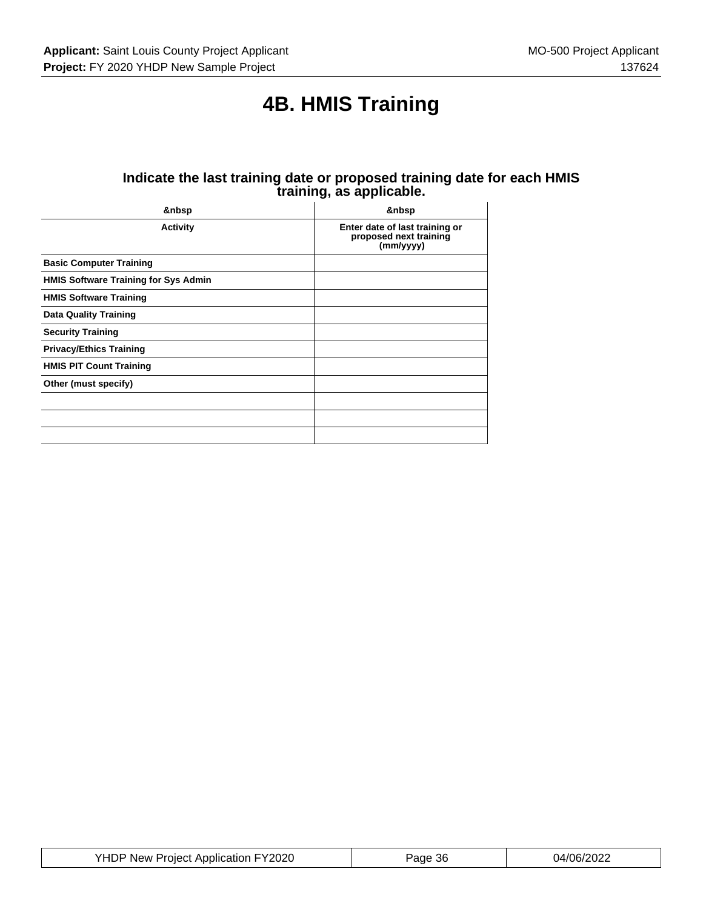# **4B. HMIS Training**

#### **Indicate the last training date or proposed training date for each HMIS training, as applicable.**  $\overline{1}$

| Enter date of last training or<br>proposed next training<br>(mm/yyyy) |
|-----------------------------------------------------------------------|
|                                                                       |
|                                                                       |
|                                                                       |
|                                                                       |
|                                                                       |
|                                                                       |
|                                                                       |
|                                                                       |
|                                                                       |
|                                                                       |
|                                                                       |
|                                                                       |

| YHDP New Project Application FY2020 | Page 36 | 04/06/2022 |
|-------------------------------------|---------|------------|
|-------------------------------------|---------|------------|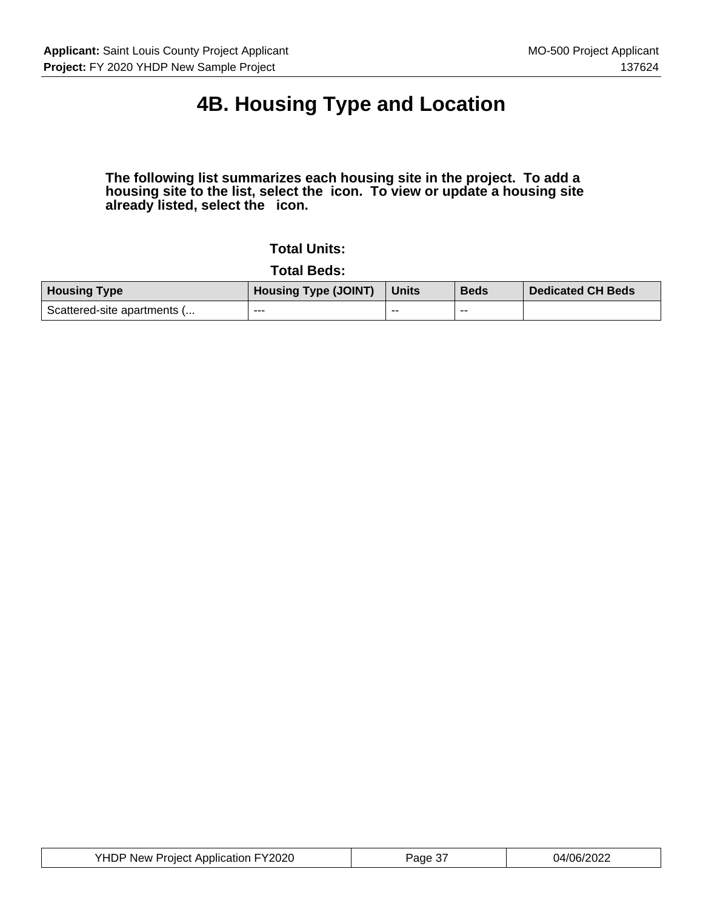# **4B. Housing Type and Location**

#### **The following list summarizes each housing site in the project. To add a housing site to the list, select the icon. To view or update a housing site already listed, select the icon.**

**Total Units:**

**Total Beds:**

| <b>Housing Type</b>         | <b>Housing Type (JOINT)</b> | <b>Units</b> | <b>Beds</b> | <b>Dedicated CH Beds</b> |
|-----------------------------|-----------------------------|--------------|-------------|--------------------------|
| Scattered-site apartments ( | ---                         | $- -$        | --          |                          |

| YHDP New Project Application FY2020 | Page 37 | 04/06/2022 |
|-------------------------------------|---------|------------|
|-------------------------------------|---------|------------|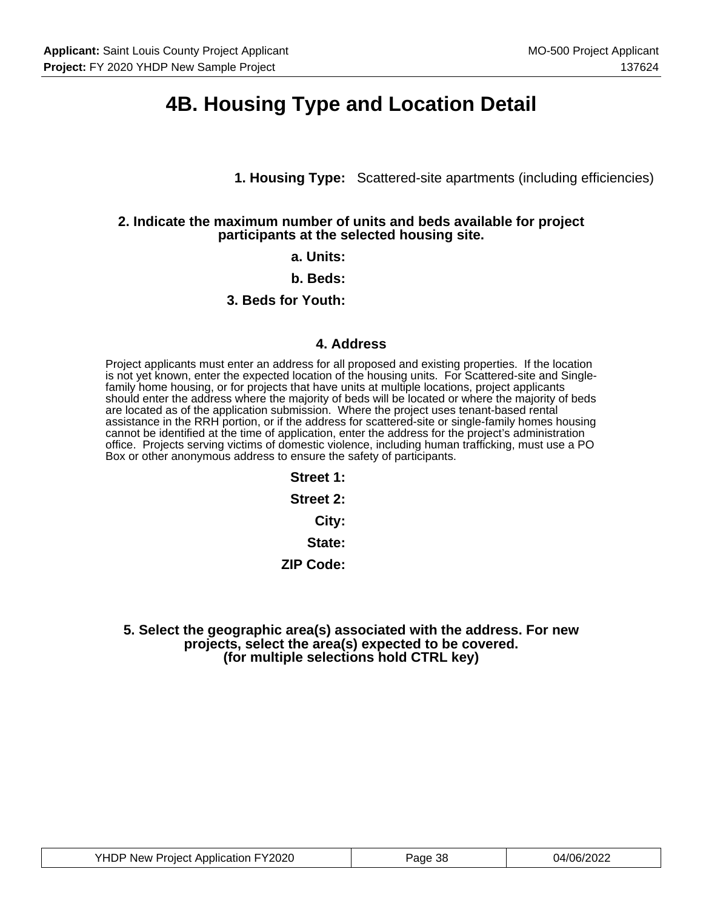### **4B. Housing Type and Location Detail**

**1. Housing Type:** Scattered-site apartments (including efficiencies)

#### **2. Indicate the maximum number of units and beds available for project participants at the selected housing site.**

### **a. Units:**

#### **b. Beds:**

#### **3. Beds for Youth:**

#### **4. Address**

Project applicants must enter an address for all proposed and existing properties. If the location is not yet known, enter the expected location of the housing units. For Scattered-site and Singlefamily home housing, or for projects that have units at multiple locations, project applicants should enter the address where the majority of beds will be located or where the majority of beds are located as of the application submission. Where the project uses tenant-based rental assistance in the RRH portion, or if the address for scattered-site or single-family homes housing cannot be identified at the time of application, enter the address for the project's administration office. Projects serving victims of domestic violence, including human trafficking, must use a PO Box or other anonymous address to ensure the safety of participants.

**Street 1:**

**Street 2:**

**City:**

**State:**

**ZIP Code:**

#### **5. Select the geographic area(s) associated with the address. For new projects, select the area(s) expected to be covered. (for multiple selections hold CTRL key)**

| YHDP New Project Application FY2020 | Page 38 | 04/06/2022 |
|-------------------------------------|---------|------------|
|-------------------------------------|---------|------------|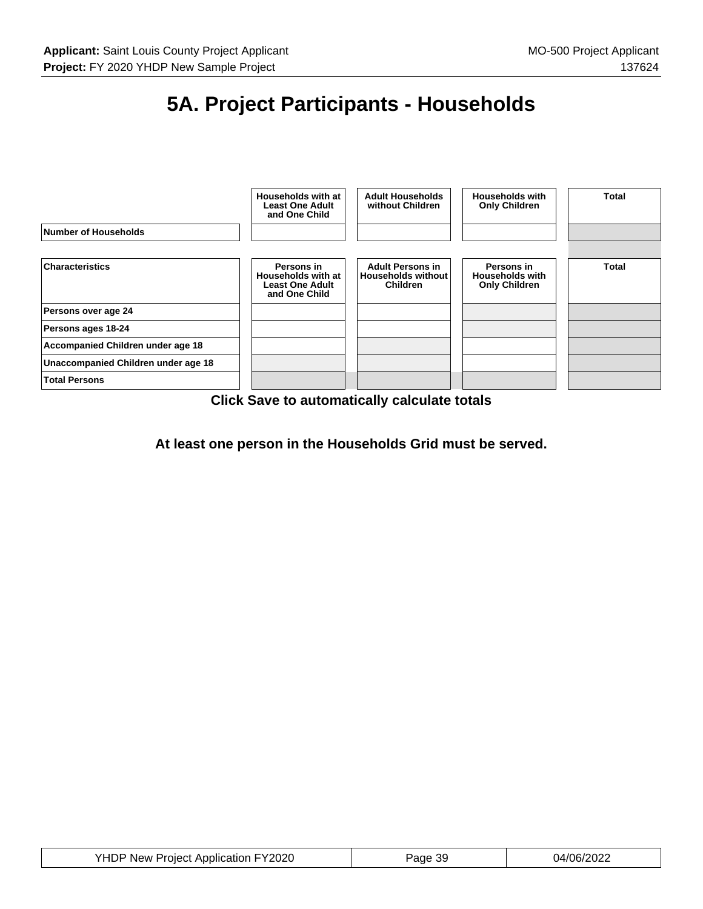# **5A. Project Participants - Households**



**Click Save to automatically calculate totals**

**At least one person in the Households Grid must be served.**

| YHDP New Project Application FY2020 | Page 39 | 04/06/2022 |
|-------------------------------------|---------|------------|
|-------------------------------------|---------|------------|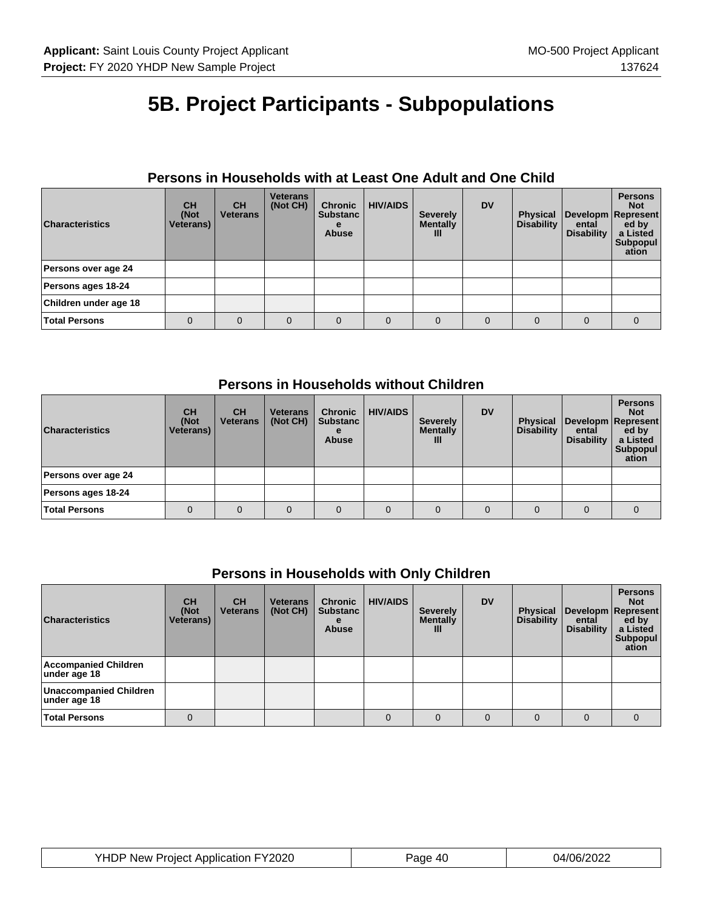# **5B. Project Participants - Subpopulations**

| <b>Characteristics</b> | <b>CH</b><br>(Not<br><b>Veterans</b> ) | <b>CH</b><br><b>Veterans</b> | <b>Veterans</b><br>(Not CH) | <b>Chronic</b><br><b>Substanc</b><br><b>Abuse</b> | <b>HIV/AIDS</b> | <b>Severely</b><br><b>Mentally</b><br>Ш | <b>DV</b> | <b>Physical</b><br><b>Disability</b> | ental<br><b>Disability</b> | <b>Persons</b><br><b>Not</b><br>Developm Represent<br>ed by<br>a Listed<br>Subpopul<br>ation |
|------------------------|----------------------------------------|------------------------------|-----------------------------|---------------------------------------------------|-----------------|-----------------------------------------|-----------|--------------------------------------|----------------------------|----------------------------------------------------------------------------------------------|
| Persons over age 24    |                                        |                              |                             |                                                   |                 |                                         |           |                                      |                            |                                                                                              |
| Persons ages 18-24     |                                        |                              |                             |                                                   |                 |                                         |           |                                      |                            |                                                                                              |
| Children under age 18  |                                        |                              |                             |                                                   |                 |                                         |           |                                      |                            |                                                                                              |
| <b>Total Persons</b>   | $\Omega$                               | $\mathbf 0$                  | $\mathbf 0$                 | $\mathbf 0$                                       | $\mathbf 0$     | $\mathbf{0}$                            | $\Omega$  | $\Omega$                             | 0                          | $\mathbf{0}$                                                                                 |

### **Persons in Households with at Least One Adult and One Child**

### **Persons in Households without Children**

| <b>Characteristics</b> | <b>CH</b><br>(Not<br><b>Veterans</b> ) | <b>CH</b><br><b>Veterans</b> | <b>Veterans</b><br>(Not CH) | <b>Chronic</b><br><b>Substanc</b><br><b>Abuse</b> | <b>HIV/AIDS</b> | <b>Severely</b><br><b>Mentally</b><br>$\mathbf{m}$ | <b>DV</b>    | <b>Physical</b><br><b>Disability</b> | ental<br><b>Disability</b> | <b>Persons</b><br><b>Not</b><br>Developm Represent<br>ed by<br>a Listed<br>Subpopul<br>ation |
|------------------------|----------------------------------------|------------------------------|-----------------------------|---------------------------------------------------|-----------------|----------------------------------------------------|--------------|--------------------------------------|----------------------------|----------------------------------------------------------------------------------------------|
| Persons over age 24    |                                        |                              |                             |                                                   |                 |                                                    |              |                                      |                            |                                                                                              |
| Persons ages 18-24     |                                        |                              |                             |                                                   |                 |                                                    |              |                                      |                            |                                                                                              |
| <b>Total Persons</b>   | 0                                      | $\Omega$                     | 0                           |                                                   | $\Omega$        | $\Omega$                                           | $\mathbf{0}$ | $\Omega$                             | $\Omega$                   |                                                                                              |

### **Persons in Households with Only Children**

| <b>Characteristics</b>                 | <b>CH</b><br>(Not<br><b>Veterans</b> ) | <b>CH</b><br><b>Veterans</b> | <b>Veterans</b><br>(Not CH) | <b>Chronic</b><br><b>Substanc</b><br><b>Abuse</b> | <b>HIV/AIDS</b> | <b>Severely</b><br><b>Mentally</b><br>Ш | <b>DV</b> | <b>Physical</b><br><b>Disability</b> | ental<br><b>Disability</b> | <b>Persons</b><br><b>Not</b><br>Developm Represent<br>ed by<br>a Listed<br>Subpopul<br>ation |
|----------------------------------------|----------------------------------------|------------------------------|-----------------------------|---------------------------------------------------|-----------------|-----------------------------------------|-----------|--------------------------------------|----------------------------|----------------------------------------------------------------------------------------------|
| Accompanied Children<br>under age 18   |                                        |                              |                             |                                                   |                 |                                         |           |                                      |                            |                                                                                              |
| Unaccompanied Children<br>under age 18 |                                        |                              |                             |                                                   |                 |                                         |           |                                      |                            |                                                                                              |
| Total Persons                          |                                        |                              |                             |                                                   |                 | $\Omega$                                | $\Omega$  | $\Omega$                             | $\Omega$                   | $\Omega$                                                                                     |

| YHDP New Project Application FY2020 | Page 40 | 04/06/2022 |
|-------------------------------------|---------|------------|
|-------------------------------------|---------|------------|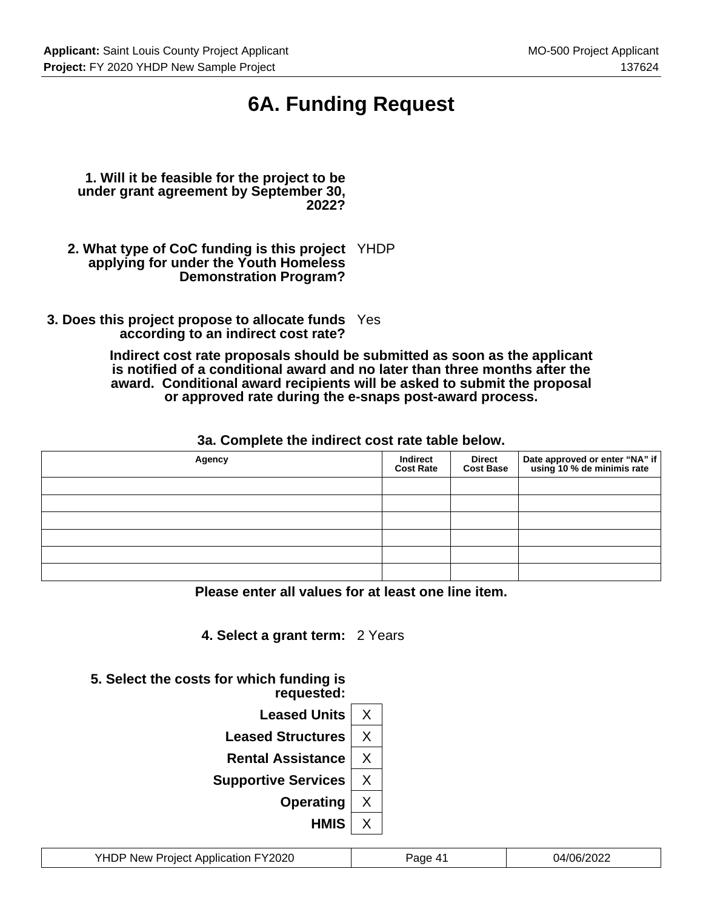# **6A. Funding Request**

**1. Will it be feasible for the project to be under grant agreement by September 30, 2022?**

- **2. What type of CoC funding is this project** YHDP **applying for under the Youth Homeless Demonstration Program?**
- **3. Does this project propose to allocate funds** Yes **according to an indirect cost rate?**

**Indirect cost rate proposals should be submitted as soon as the applicant is notified of a conditional award and no later than three months after the award. Conditional award recipients will be asked to submit the proposal or approved rate during the e-snaps post-award process.**

| 3a. Complete the indirect cost rate table below. |  |
|--------------------------------------------------|--|
|--------------------------------------------------|--|

| Agency | Indirect<br><b>Cost Rate</b> | <b>Direct</b><br><b>Cost Base</b> | $\begin{array}{ l l }\hline \text{Date approved or enter "NA" if} \\ \text{using 10 % de minimis rate} & \end{array}$ |
|--------|------------------------------|-----------------------------------|-----------------------------------------------------------------------------------------------------------------------|
|        |                              |                                   |                                                                                                                       |
|        |                              |                                   |                                                                                                                       |
|        |                              |                                   |                                                                                                                       |
|        |                              |                                   |                                                                                                                       |
|        |                              |                                   |                                                                                                                       |
|        |                              |                                   |                                                                                                                       |

**Please enter all values for at least one line item.**

**4. Select a grant term:** 2 Years

### **5. Select the costs for which funding is**

**requested: Leased Units**  $\mathsf{X}$ **Leased Structures**  $\mathsf{X}$ **Rental Assistance** | X **Supportive Services** | X **Operating** | X **HMIS** | X

| FY2020<br><b>YHL</b><br>. Application F<br>New Proiect<br>שו | aue | 04/06/2022 |
|--------------------------------------------------------------|-----|------------|
|--------------------------------------------------------------|-----|------------|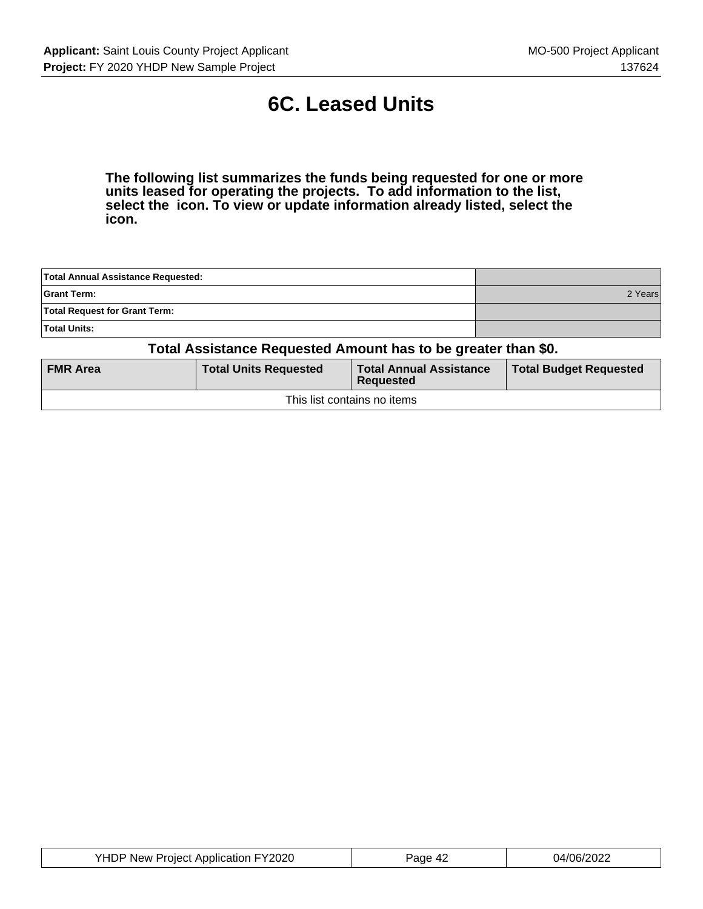# **6C. Leased Units**

**The following list summarizes the funds being requested for one or more units leased for operating the projects. To add information to the list, select the icon. To view or update information already listed, select the icon.**

| Total Annual Assistance Requested:   |         |
|--------------------------------------|---------|
| Grant Term:                          | 2 Years |
| <b>Total Request for Grant Term:</b> |         |
| <b>Total Units:</b>                  |         |

### **Total Assistance Requested Amount has to be greater than \$0.**

| <b>FMR Area</b>             | <b>Total Units Requested</b> | <b>Total Annual Assistance</b><br>Reguested | <b>Total Budget Requested</b> |
|-----------------------------|------------------------------|---------------------------------------------|-------------------------------|
| This list contains no items |                              |                                             |                               |

| YHDP New Project Application FY2020 | Page 42 | 04/06/2022 |
|-------------------------------------|---------|------------|
|-------------------------------------|---------|------------|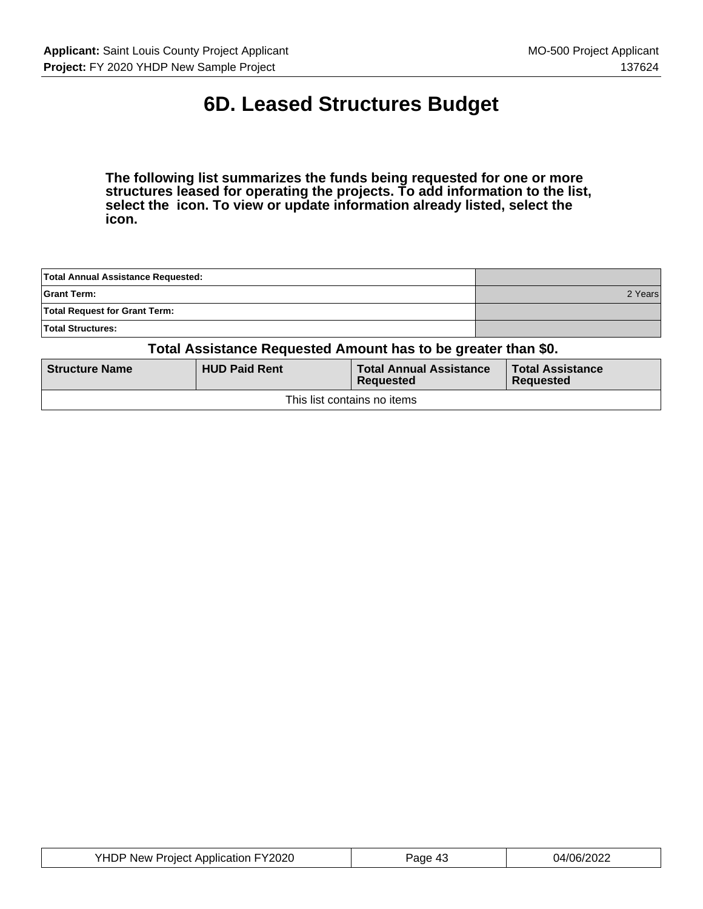## **6D. Leased Structures Budget**

**The following list summarizes the funds being requested for one or more structures leased for operating the projects. To add information to the list, select the icon. To view or update information already listed, select the icon.**

| Total Annual Assistance Requested:   |         |
|--------------------------------------|---------|
| Grant Term:                          | 2 Years |
| <b>Total Request for Grant Term:</b> |         |
| <b>Total Structures:</b>             |         |

### **Total Assistance Requested Amount has to be greater than \$0.**

| Structure Name              | <b>HUD Paid Rent</b> | <b>Total Annual Assistance</b><br>Requested | <b>Total Assistance</b><br>Requested |
|-----------------------------|----------------------|---------------------------------------------|--------------------------------------|
| This list contains no items |                      |                                             |                                      |

| YHDP New Project Application FY2020 | Page 43 | 04/06/2022 |
|-------------------------------------|---------|------------|
|-------------------------------------|---------|------------|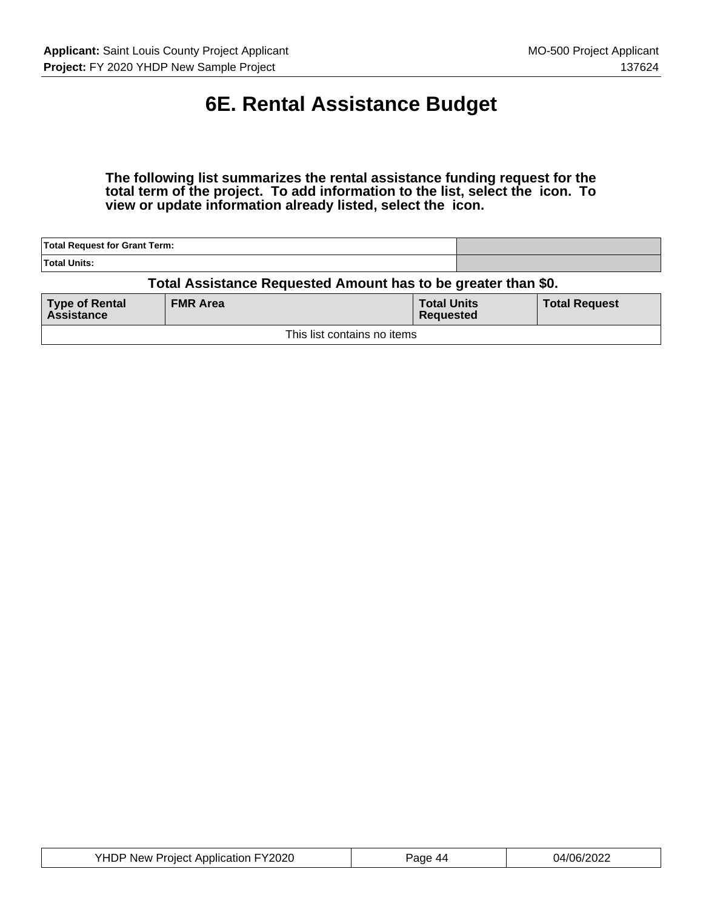## **6E. Rental Assistance Budget**

**The following list summarizes the rental assistance funding request for the total term of the project. To add information to the list, select the icon. To view or update information already listed, select the icon.**

| <b>Total Request for Grant Term:</b>                          |                 |                                        |                      |
|---------------------------------------------------------------|-----------------|----------------------------------------|----------------------|
| 'Total Units:                                                 |                 |                                        |                      |
| Total Assistance Requested Amount has to be greater than \$0. |                 |                                        |                      |
| <b>Type of Rental<br/>Assistance</b>                          | <b>FMR Area</b> | <b>Total Units</b><br><b>Requested</b> | <b>Total Request</b> |

This list contains no items

| YHDP New Project Application FY2020 | Page 44 | 04/06/2022 |
|-------------------------------------|---------|------------|
|-------------------------------------|---------|------------|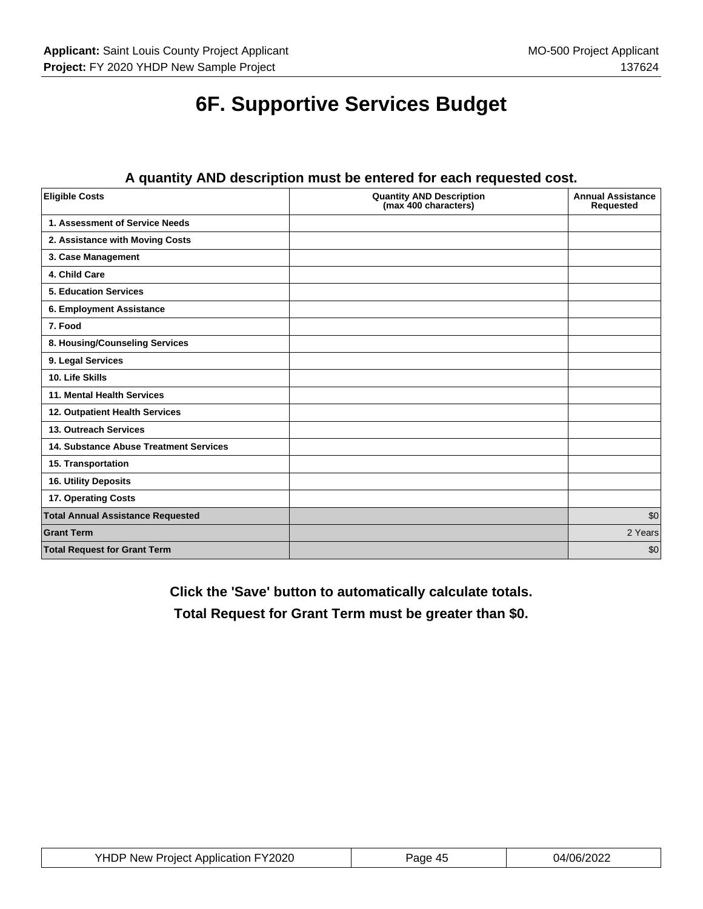# **6F. Supportive Services Budget**

### **A quantity AND description must be entered for each requested cost.**

| <b>Eligible Costs</b>                         | <b>Quantity AND Description</b><br>(max 400 characters) | <b>Annual Assistance</b><br><b>Requested</b> |
|-----------------------------------------------|---------------------------------------------------------|----------------------------------------------|
| 1. Assessment of Service Needs                |                                                         |                                              |
| 2. Assistance with Moving Costs               |                                                         |                                              |
| 3. Case Management                            |                                                         |                                              |
| 4. Child Care                                 |                                                         |                                              |
| <b>5. Education Services</b>                  |                                                         |                                              |
| 6. Employment Assistance                      |                                                         |                                              |
| 7. Food                                       |                                                         |                                              |
| 8. Housing/Counseling Services                |                                                         |                                              |
| 9. Legal Services                             |                                                         |                                              |
| 10. Life Skills                               |                                                         |                                              |
| 11. Mental Health Services                    |                                                         |                                              |
| 12. Outpatient Health Services                |                                                         |                                              |
| 13. Outreach Services                         |                                                         |                                              |
| <b>14. Substance Abuse Treatment Services</b> |                                                         |                                              |
| 15. Transportation                            |                                                         |                                              |
| 16. Utility Deposits                          |                                                         |                                              |
| 17. Operating Costs                           |                                                         |                                              |
| <b>Total Annual Assistance Requested</b>      |                                                         | \$0                                          |
| <b>Grant Term</b>                             |                                                         | 2 Years                                      |
| <b>Total Request for Grant Term</b>           |                                                         | \$0                                          |

**Click the 'Save' button to automatically calculate totals.**

**Total Request for Grant Term must be greater than \$0.**

| YHDP New Project Application FY2020 | Page 45 | 04/06/2022 |
|-------------------------------------|---------|------------|
|-------------------------------------|---------|------------|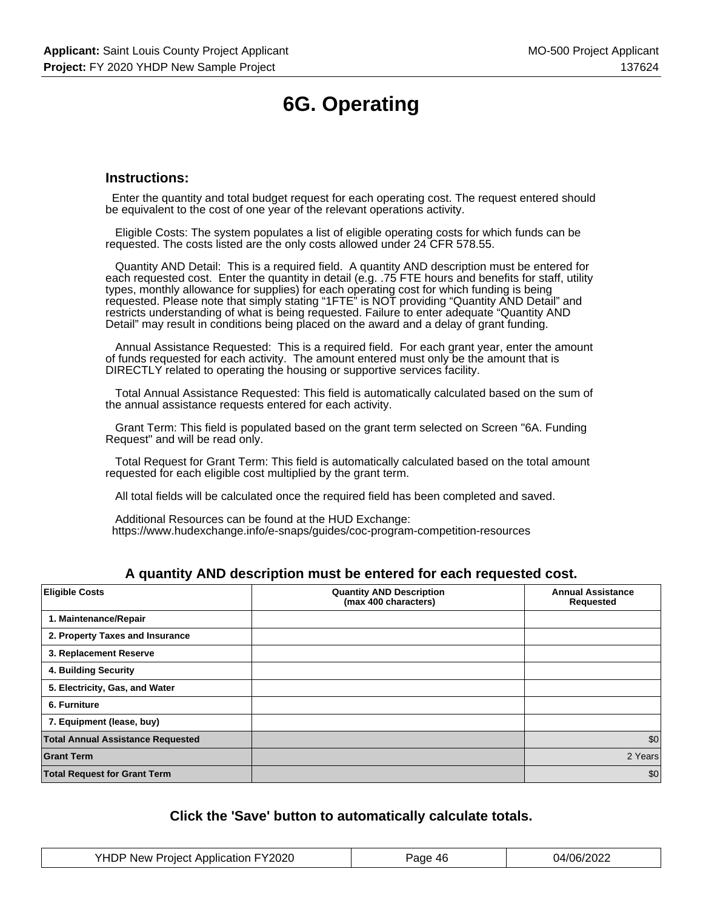# **6G. Operating**

#### **Instructions:**

 Enter the quantity and total budget request for each operating cost. The request entered should be equivalent to the cost of one year of the relevant operations activity.

 Eligible Costs: The system populates a list of eligible operating costs for which funds can be requested. The costs listed are the only costs allowed under 24 CFR 578.55.

 Quantity AND Detail: This is a required field. A quantity AND description must be entered for each requested cost. Enter the quantity in detail (e.g. .75 FTE hours and benefits for staff, utility types, monthly allowance for supplies) for each operating cost for which funding is being requested. Please note that simply stating "1FTE" is NOT providing "Quantity AND Detail" and restricts understanding of what is being requested. Failure to enter adequate "Quantity AND Detail" may result in conditions being placed on the award and a delay of grant funding.

 Annual Assistance Requested: This is a required field. For each grant year, enter the amount of funds requested for each activity. The amount entered must only be the amount that is DIRECTLY related to operating the housing or supportive services facility.

 Total Annual Assistance Requested: This field is automatically calculated based on the sum of the annual assistance requests entered for each activity.

 Grant Term: This field is populated based on the grant term selected on Screen "6A. Funding Request" and will be read only.

 Total Request for Grant Term: This field is automatically calculated based on the total amount requested for each eligible cost multiplied by the grant term.

All total fields will be calculated once the required field has been completed and saved.

 Additional Resources can be found at the HUD Exchange: https://www.hudexchange.info/e-snaps/guides/coc-program-competition-resources

#### **A quantity AND description must be entered for each requested cost.**

| <b>Eligible Costs</b>                    | <b>Quantity AND Description</b><br>(max 400 characters) | <b>Annual Assistance</b><br><b>Requested</b> |
|------------------------------------------|---------------------------------------------------------|----------------------------------------------|
| 1. Maintenance/Repair                    |                                                         |                                              |
| 2. Property Taxes and Insurance          |                                                         |                                              |
| 3. Replacement Reserve                   |                                                         |                                              |
| 4. Building Security                     |                                                         |                                              |
| 5. Electricity, Gas, and Water           |                                                         |                                              |
| 6. Furniture                             |                                                         |                                              |
| 7. Equipment (lease, buy)                |                                                         |                                              |
| <b>Total Annual Assistance Requested</b> |                                                         | \$0                                          |
| <b>Grant Term</b>                        |                                                         | 2 Years                                      |
| <b>Total Request for Grant Term</b>      |                                                         | \$0                                          |

#### **Click the 'Save' button to automatically calculate totals.**

| Y2020 <del>.</del><br>HDP<br>া Application<br>Project<br>New | <b>11</b><br>age | /2022<br>04/06 <sub>/</sub> |
|--------------------------------------------------------------|------------------|-----------------------------|
|--------------------------------------------------------------|------------------|-----------------------------|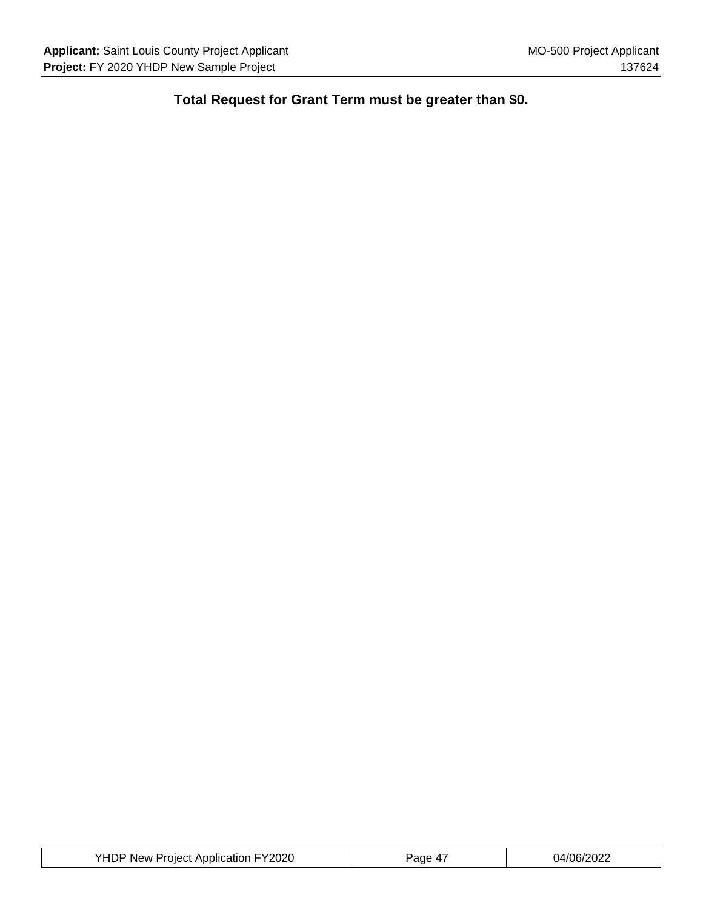### **Total Request for Grant Term must be greater than \$0.**

| YHDP New Project Application FY2020 | Page 47 | 04/06/2022 |
|-------------------------------------|---------|------------|
|-------------------------------------|---------|------------|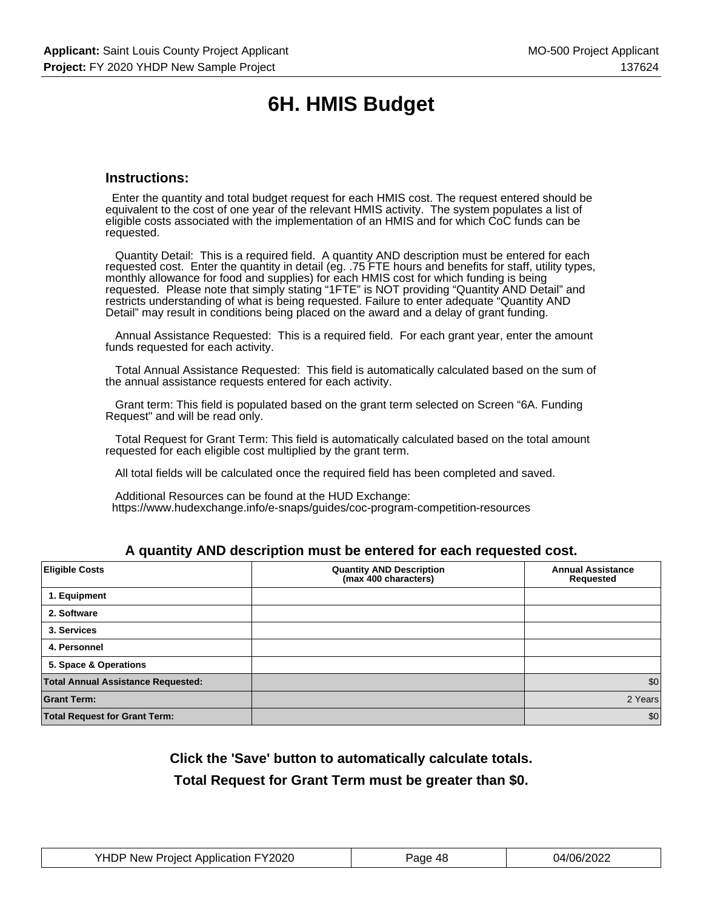# **6H. HMIS Budget**

#### **Instructions:**

 Enter the quantity and total budget request for each HMIS cost. The request entered should be equivalent to the cost of one year of the relevant HMIS activity. The system populates a list of eligible costs associated with the implementation of an HMIS and for which CoC funds can be requested.

 Quantity Detail: This is a required field. A quantity AND description must be entered for each requested cost. Enter the quantity in detail (eg. .75 FTE hours and benefits for staff, utility types, monthly allowance for food and supplies) for each HMIS cost for which funding is being requested. Please note that simply stating "1FTE" is NOT providing "Quantity AND Detail" and restricts understanding of what is being requested. Failure to enter adequate "Quantity AND Detail" may result in conditions being placed on the award and a delay of grant funding.

 Annual Assistance Requested: This is a required field. For each grant year, enter the amount funds requested for each activity.

 Total Annual Assistance Requested: This field is automatically calculated based on the sum of the annual assistance requests entered for each activity.

 Grant term: This field is populated based on the grant term selected on Screen "6A. Funding Request" and will be read only.

 Total Request for Grant Term: This field is automatically calculated based on the total amount requested for each eligible cost multiplied by the grant term.

All total fields will be calculated once the required field has been completed and saved.

 Additional Resources can be found at the HUD Exchange: https://www.hudexchange.info/e-snaps/guides/coc-program-competition-resources

#### **A quantity AND description must be entered for each requested cost.**

| <b>Eligible Costs</b>                     | Quantity AND Description<br>(max 400 characters) | <b>Annual Assistance</b><br>Requested |
|-------------------------------------------|--------------------------------------------------|---------------------------------------|
| 1. Equipment                              |                                                  |                                       |
| 2. Software                               |                                                  |                                       |
| 3. Services                               |                                                  |                                       |
| 4. Personnel                              |                                                  |                                       |
| 5. Space & Operations                     |                                                  |                                       |
| <b>Total Annual Assistance Requested:</b> |                                                  | \$0                                   |
| <b>Grant Term:</b>                        |                                                  | 2 Years                               |
| <b>Total Request for Grant Term:</b>      |                                                  | \$0                                   |

**Click the 'Save' button to automatically calculate totals. Total Request for Grant Term must be greater than \$0.**

| YHDP New Project Application FY2020 | Page 48 | 04/06/2022 |
|-------------------------------------|---------|------------|
|-------------------------------------|---------|------------|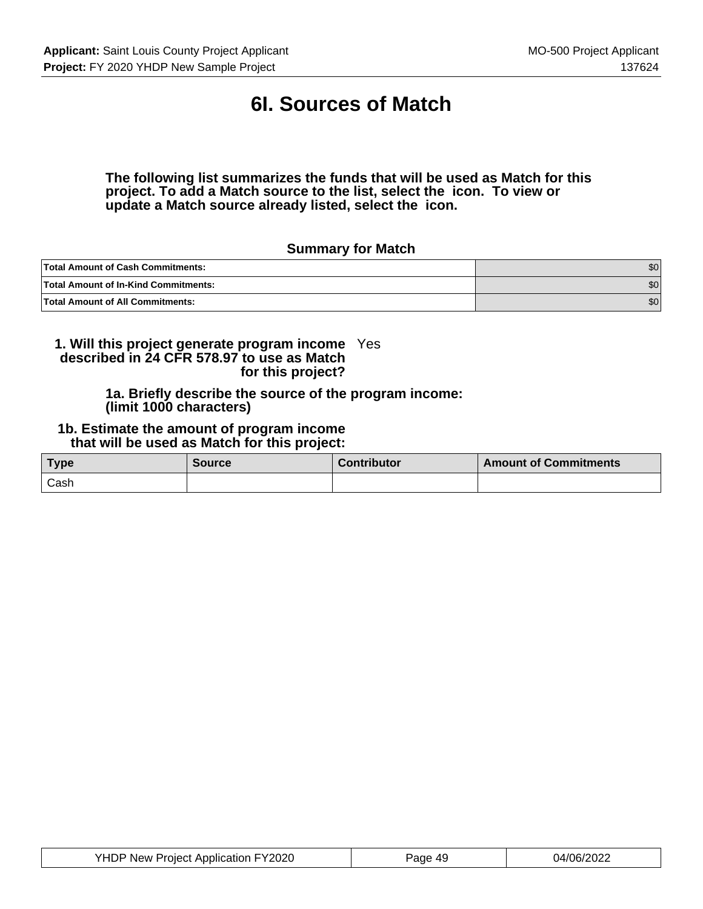## **6I. Sources of Match**

**The following list summarizes the funds that will be used as Match for this project. To add a Match source to the list, select the icon. To view or update a Match source already listed, select the icon.**

#### **Summary for Match**

| <b>Total Amount of Cash Commitments:</b>    | \$0 I |
|---------------------------------------------|-------|
| <b>Total Amount of In-Kind Commitments:</b> | \$0 I |
| <b>Total Amount of All Commitments:</b>     | ا 30  |

#### **1. Will this project generate program income** Yes **described in 24 CFR 578.97 to use as Match for this project?**

**1a. Briefly describe the source of the program income: (limit 1000 characters)**

#### **1b. Estimate the amount of program income that will be used as Match for this project:**

| <b>Type</b> | <b>Source</b> | Contributor | <b>Amount of Commitments</b> |
|-------------|---------------|-------------|------------------------------|
| Cash        |               |             |                              |

| YHDP New Project Application FY2020<br>Page 49 | 04/06/2022 |
|------------------------------------------------|------------|
|------------------------------------------------|------------|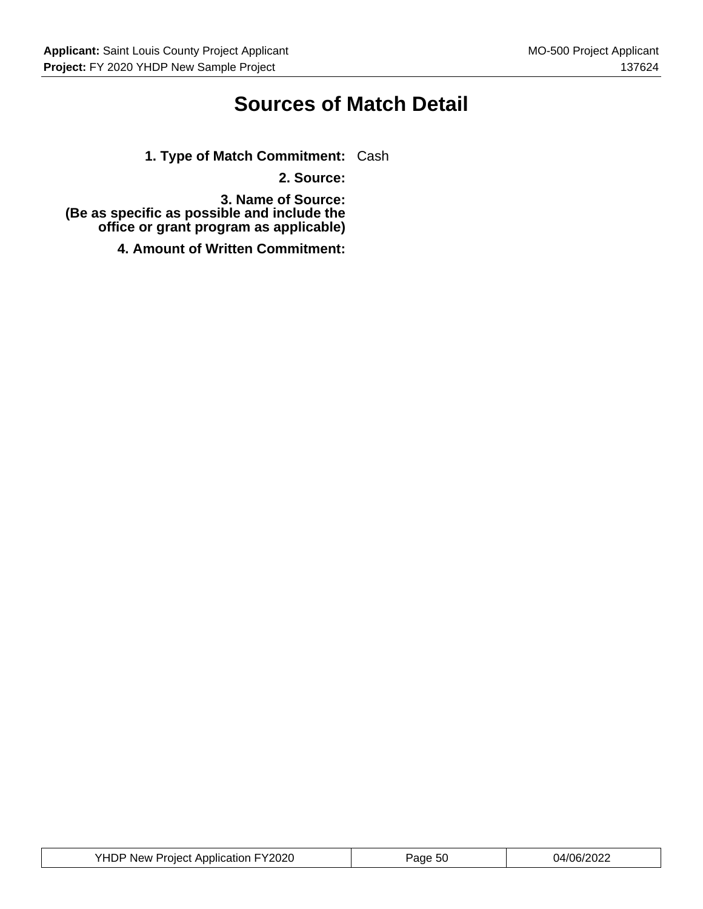### **Sources of Match Detail**

**1. Type of Match Commitment:** Cash

**2. Source:**

**3. Name of Source: (Be as specific as possible and include the office or grant program as applicable)**

**4. Amount of Written Commitment:**

| New Project Application FY2020<br>YHDP, | ane<br>.5U | 04/06/2022 |
|-----------------------------------------|------------|------------|
|-----------------------------------------|------------|------------|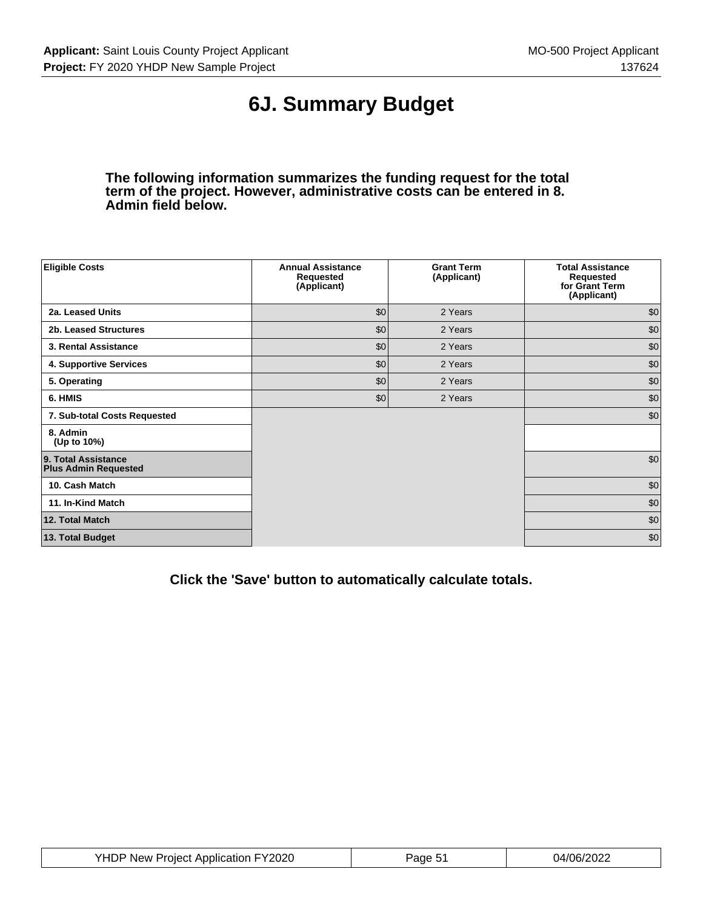# **6J. Summary Budget**

**The following information summarizes the funding request for the total term of the project. However, administrative costs can be entered in 8. Admin field below.**

| <b>Eligible Costs</b>                              | <b>Annual Assistance</b><br><b>Requested</b><br>(Applicant) | <b>Grant Term</b><br>(Applicant) | <b>Total Assistance</b><br>Requested<br>for Grant Term<br>(Applicant) |
|----------------------------------------------------|-------------------------------------------------------------|----------------------------------|-----------------------------------------------------------------------|
| 2a. Leased Units                                   | \$0                                                         | 2 Years                          | \$0                                                                   |
| 2b. Leased Structures                              | \$0                                                         | 2 Years                          | \$0                                                                   |
| 3. Rental Assistance                               | \$0                                                         | 2 Years                          | \$0                                                                   |
| 4. Supportive Services                             | \$0                                                         | 2 Years                          | \$0                                                                   |
| 5. Operating                                       | \$0                                                         | 2 Years                          | \$0                                                                   |
| 6. HMIS                                            | \$0                                                         | 2 Years                          | \$0                                                                   |
| 7. Sub-total Costs Requested                       |                                                             |                                  | \$0                                                                   |
| 8. Admin<br>(Up to 10%)                            |                                                             |                                  |                                                                       |
| 9. Total Assistance<br><b>Plus Admin Requested</b> |                                                             |                                  | \$0                                                                   |
| 10. Cash Match                                     |                                                             |                                  | \$0                                                                   |
| 11. In-Kind Match                                  |                                                             |                                  | \$0                                                                   |
| 12. Total Match                                    |                                                             |                                  | \$0                                                                   |
| 13. Total Budget                                   |                                                             |                                  | \$0                                                                   |

**Click the 'Save' button to automatically calculate totals.**

| YHDP New Project Application FY2020 | Page 51 | 04/06/2022 |
|-------------------------------------|---------|------------|
|-------------------------------------|---------|------------|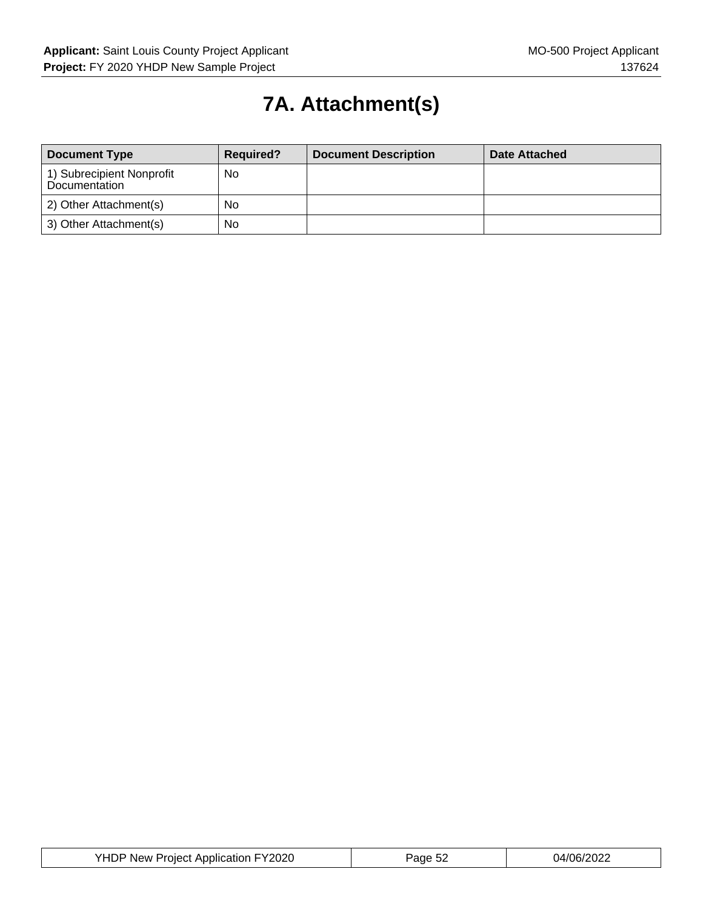# **7A. Attachment(s)**

| <b>Document Type</b>                       | <b>Required?</b> | <b>Document Description</b> | Date Attached |
|--------------------------------------------|------------------|-----------------------------|---------------|
| 1) Subrecipient Nonprofit<br>Documentation | No.              |                             |               |
| 2) Other Attachment(s)                     | No               |                             |               |
| 3) Other Attachment(s)                     | No               |                             |               |

| YHDP New Project Application FY2020 | Page 52 | 04/06/2022 |
|-------------------------------------|---------|------------|
|-------------------------------------|---------|------------|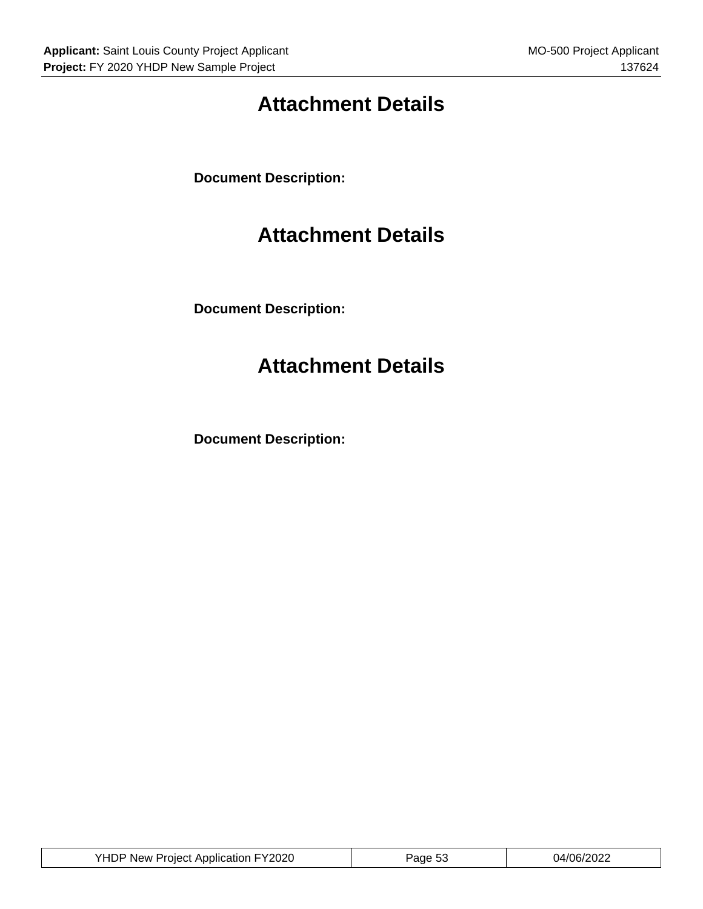# **Attachment Details**

**Document Description:**

# **Attachment Details**

**Document Description:**

# **Attachment Details**

**Document Description:**

| YHDP New Project Application FY2020 | Page 53 | 04/06/2022 |
|-------------------------------------|---------|------------|
|-------------------------------------|---------|------------|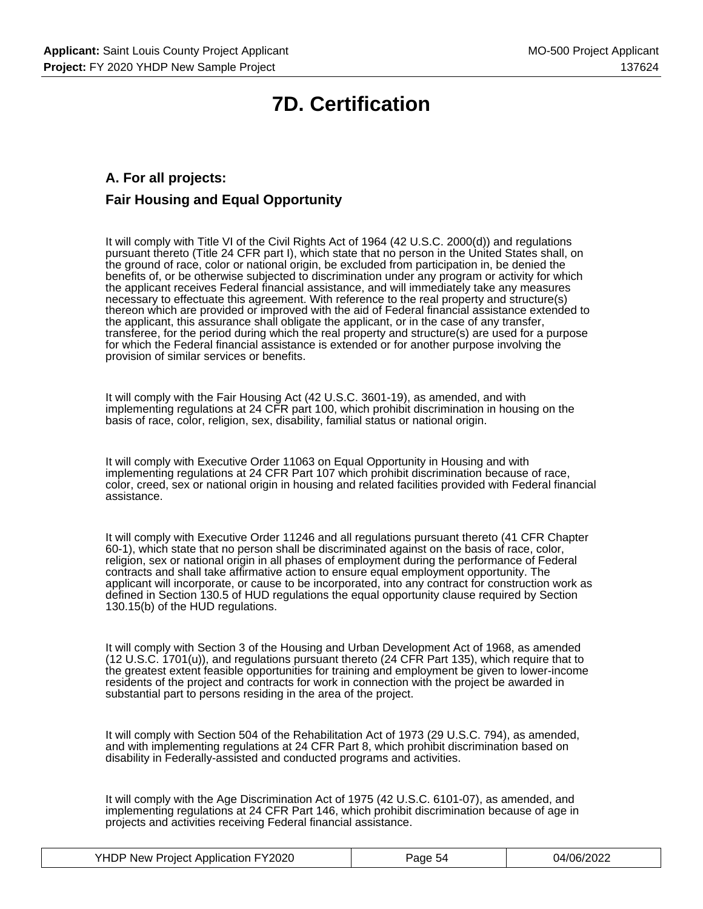# **7D. Certification**

### **A. For all projects: Fair Housing and Equal Opportunity**

It will comply with Title VI of the Civil Rights Act of 1964 (42 U.S.C. 2000(d)) and regulations pursuant thereto (Title 24 CFR part I), which state that no person in the United States shall, on the ground of race, color or national origin, be excluded from participation in, be denied the benefits of, or be otherwise subjected to discrimination under any program or activity for which the applicant receives Federal financial assistance, and will immediately take any measures necessary to effectuate this agreement. With reference to the real property and structure(s) thereon which are provided or improved with the aid of Federal financial assistance extended to the applicant, this assurance shall obligate the applicant, or in the case of any transfer, transferee, for the period during which the real property and structure(s) are used for a purpose for which the Federal financial assistance is extended or for another purpose involving the provision of similar services or benefits.

It will comply with the Fair Housing Act (42 U.S.C. 3601-19), as amended, and with implementing regulations at 24 CFR part 100, which prohibit discrimination in housing on the basis of race, color, religion, sex, disability, familial status or national origin.

It will comply with Executive Order 11063 on Equal Opportunity in Housing and with implementing regulations at 24 CFR Part 107 which prohibit discrimination because of race, color, creed, sex or national origin in housing and related facilities provided with Federal financial assistance.

It will comply with Executive Order 11246 and all regulations pursuant thereto (41 CFR Chapter 60-1), which state that no person shall be discriminated against on the basis of race, color, religion, sex or national origin in all phases of employment during the performance of Federal contracts and shall take affirmative action to ensure equal employment opportunity. The applicant will incorporate, or cause to be incorporated, into any contract for construction work as defined in Section 130.5 of HUD regulations the equal opportunity clause required by Section 130.15(b) of the HUD regulations.

It will comply with Section 3 of the Housing and Urban Development Act of 1968, as amended (12 U.S.C. 1701(u)), and regulations pursuant thereto (24 CFR Part 135), which require that to the greatest extent feasible opportunities for training and employment be given to lower-income residents of the project and contracts for work in connection with the project be awarded in substantial part to persons residing in the area of the project.

It will comply with Section 504 of the Rehabilitation Act of 1973 (29 U.S.C. 794), as amended, and with implementing regulations at 24 CFR Part 8, which prohibit discrimination based on disability in Federally-assisted and conducted programs and activities.

It will comply with the Age Discrimination Act of 1975 (42 U.S.C. 6101-07), as amended, and implementing regulations at 24 CFR Part 146, which prohibit discrimination because of age in projects and activities receiving Federal financial assistance.

| YHDP New Project Application FY2020 | Page 54 | 04/06/2022 |
|-------------------------------------|---------|------------|
|-------------------------------------|---------|------------|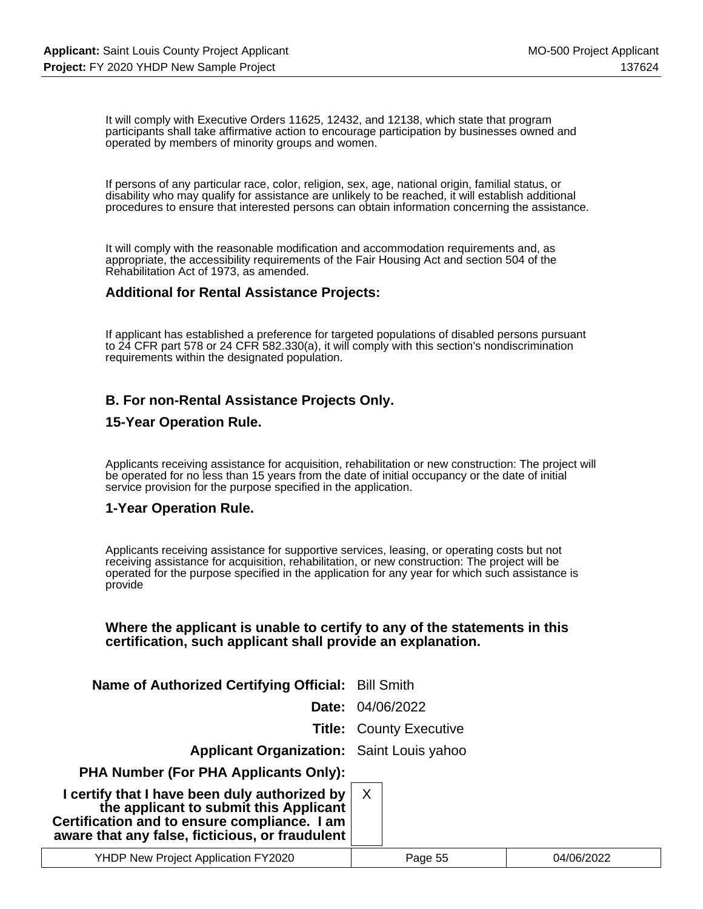It will comply with Executive Orders 11625, 12432, and 12138, which state that program participants shall take affirmative action to encourage participation by businesses owned and operated by members of minority groups and women.

If persons of any particular race, color, religion, sex, age, national origin, familial status, or disability who may qualify for assistance are unlikely to be reached, it will establish additional procedures to ensure that interested persons can obtain information concerning the assistance.

It will comply with the reasonable modification and accommodation requirements and, as appropriate, the accessibility requirements of the Fair Housing Act and section 504 of the Rehabilitation Act of 1973, as amended.

### **Additional for Rental Assistance Projects:**

If applicant has established a preference for targeted populations of disabled persons pursuant to 24 CFR part 578 or 24 CFR 582.330(a), it will comply with this section's nondiscrimination requirements within the designated population.

### **B. For non-Rental Assistance Projects Only.**

#### **15-Year Operation Rule.**

Applicants receiving assistance for acquisition, rehabilitation or new construction: The project will be operated for no less than 15 years from the date of initial occupancy or the date of initial service provision for the purpose specified in the application.

#### **1-Year Operation Rule.**

Applicants receiving assistance for supportive services, leasing, or operating costs but not receiving assistance for acquisition, rehabilitation, or new construction: The project will be operated for the purpose specified in the application for any year for which such assistance is provide

#### **Where the applicant is unable to certify to any of the statements in this certification, such applicant shall provide an explanation.**

**Name of Authorized Certifying Official:** Bill Smith

| Date: | 04/06/2022 |
|-------|------------|
|-------|------------|

X

**Title:** County Executive

**Applicant Organization:** Saint Louis yahoo

**PHA Number (For PHA Applicants Only):**

**I certify that I have been duly authorized by the applicant to submit this Applicant Certification and to ensure compliance. I am aware that any false, ficticious, or fraudulent**

| YHDP New Project Application FY2020 | Page 55 | 04/06/2022 |
|-------------------------------------|---------|------------|
|-------------------------------------|---------|------------|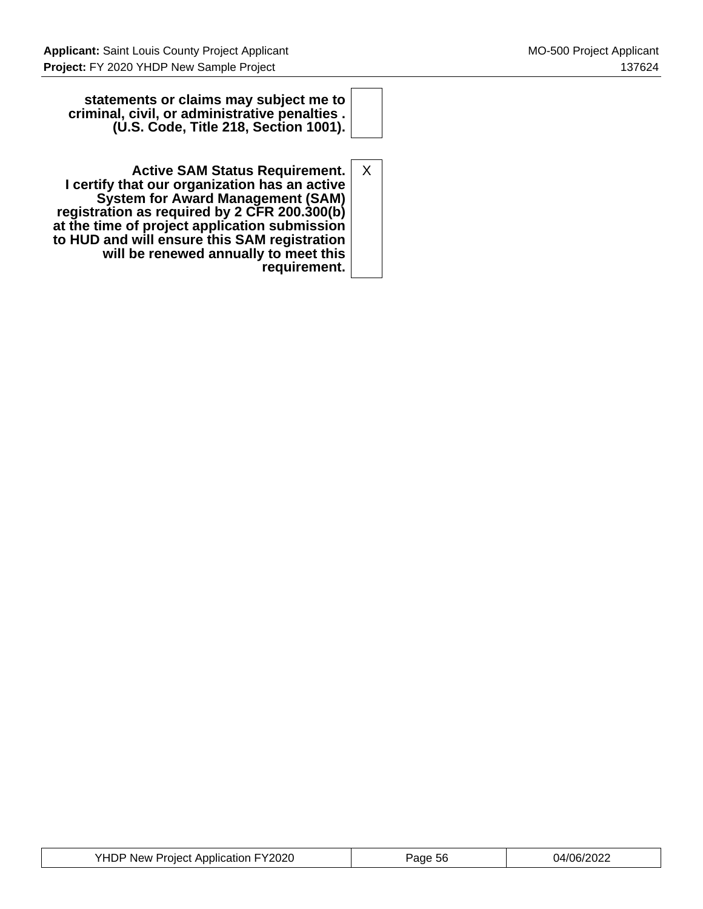**statements or claims may subject me to criminal, civil, or administrative penalties . (U.S. Code, Title 218, Section 1001).**

**Active SAM Status Requirement. I certify that our organization has an active System for Award Management (SAM) registration as required by 2 CFR 200.300(b) at the time of project application submission to HUD and will ensure this SAM registration will be renewed annually to meet this requirement.** X

| YHDP New Project Application FY2020 | 'age 56 | 04/06/2022 |
|-------------------------------------|---------|------------|
|-------------------------------------|---------|------------|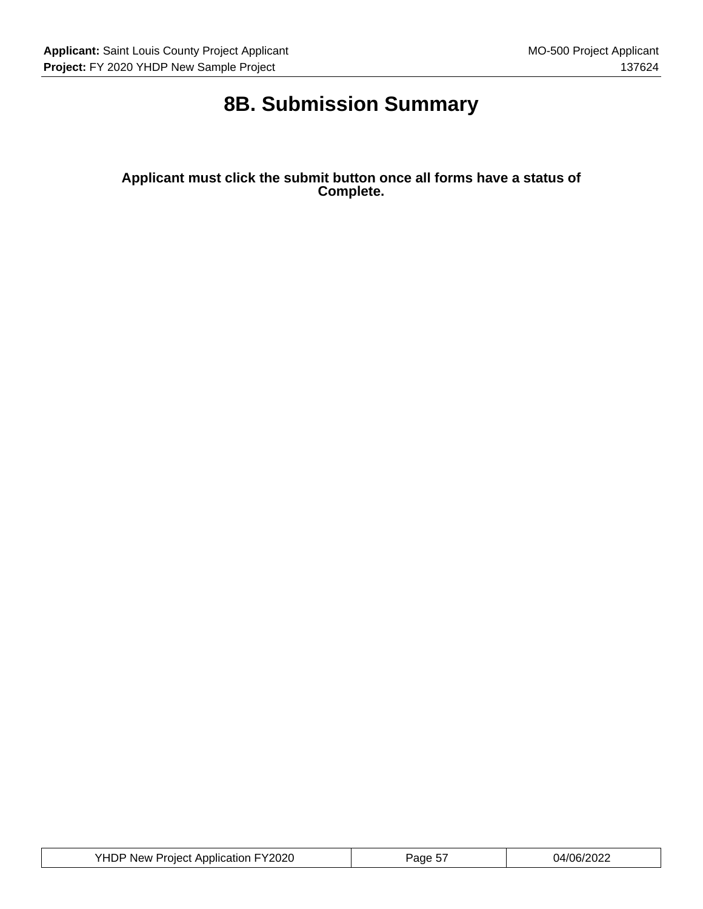# **8B. Submission Summary**

**Applicant must click the submit button once all forms have a status of Complete.**

| YHDP New Project Application FY2020 | Page 57 | 04/06/2022 |
|-------------------------------------|---------|------------|
|-------------------------------------|---------|------------|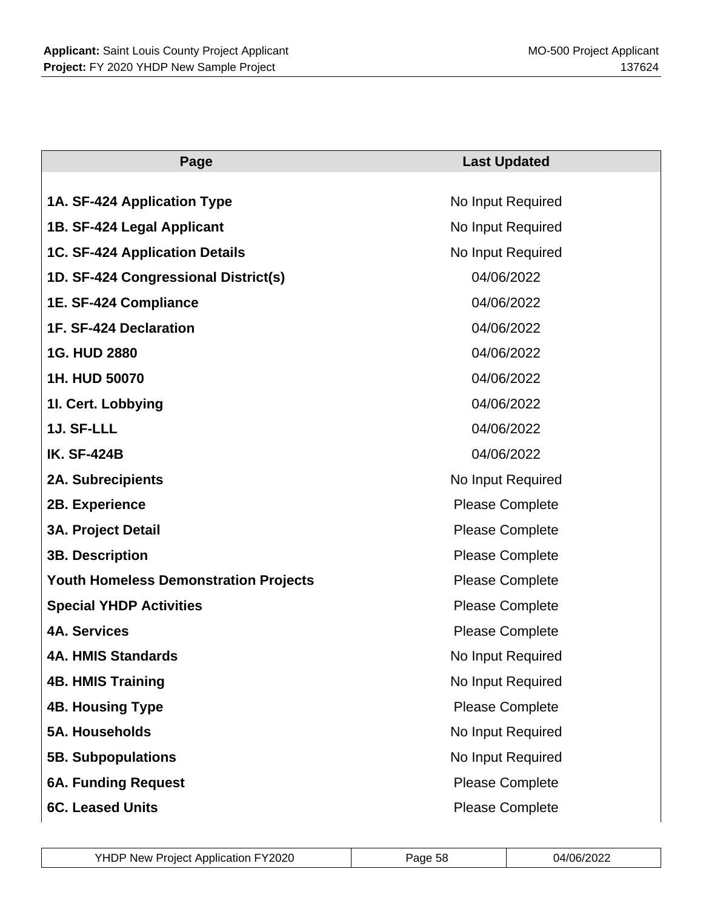| Page                                         | <b>Last Updated</b>    |  |  |
|----------------------------------------------|------------------------|--|--|
|                                              |                        |  |  |
| 1A. SF-424 Application Type                  | No Input Required      |  |  |
| 1B. SF-424 Legal Applicant                   | No Input Required      |  |  |
| <b>1C. SF-424 Application Details</b>        | No Input Required      |  |  |
| 1D. SF-424 Congressional District(s)         | 04/06/2022             |  |  |
| 1E. SF-424 Compliance                        | 04/06/2022             |  |  |
| 1F. SF-424 Declaration                       | 04/06/2022             |  |  |
| 1G. HUD 2880                                 | 04/06/2022             |  |  |
| 1H. HUD 50070                                | 04/06/2022             |  |  |
| 11. Cert. Lobbying                           | 04/06/2022             |  |  |
| 1J. SF-LLL                                   | 04/06/2022             |  |  |
| <b>IK. SF-424B</b>                           | 04/06/2022             |  |  |
| <b>2A. Subrecipients</b>                     | No Input Required      |  |  |
| 2B. Experience                               | <b>Please Complete</b> |  |  |
| <b>3A. Project Detail</b>                    | <b>Please Complete</b> |  |  |
| <b>3B. Description</b>                       | <b>Please Complete</b> |  |  |
| <b>Youth Homeless Demonstration Projects</b> | <b>Please Complete</b> |  |  |
| <b>Special YHDP Activities</b>               | <b>Please Complete</b> |  |  |
| <b>4A. Services</b>                          | <b>Please Complete</b> |  |  |
| <b>4A. HMIS Standards</b>                    | No Input Required      |  |  |
| <b>4B. HMIS Training</b>                     | No Input Required      |  |  |
| <b>4B. Housing Type</b>                      | <b>Please Complete</b> |  |  |
| 5A. Households                               | No Input Required      |  |  |
| <b>5B. Subpopulations</b>                    | No Input Required      |  |  |
| <b>6A. Funding Request</b>                   | <b>Please Complete</b> |  |  |
| <b>6C. Leased Units</b>                      | <b>Please Complete</b> |  |  |

| YHDP New Project Application FY2020 | Page 58 | 04/06/2022 |
|-------------------------------------|---------|------------|
|-------------------------------------|---------|------------|